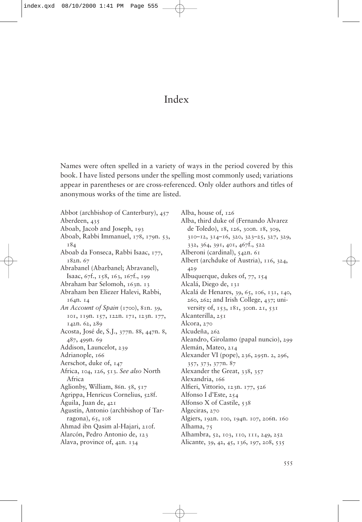## Index

Names were often spelled in a variety of ways in the period covered by this book. I have listed persons under the spelling most commonly used; variations appear in parentheses or are cross-referenced. Only older authors and titles of anonymous works of the time are listed.

Abbot (archbishop of Canterbury), 457 Aberdeen, 435 Aboab, Jacob and Joseph, 193 Aboab, Rabbi Immanuel, 178, 179n. 53, 184 Aboab da Fonseca, Rabbi Isaac, 177, 182n. 67 Abrabanel (Abarbanel; Abravanel), Isaac, 67f., 158, 163, 167f., 199 Abraham bar Selomoh, 163n. 13 Abraham ben Eliezer Halevi, Rabbi, 164n. 14 *An Account of Spain* (1700), 81n. 39, 101, 119n. 157, 122n. 171, 123n. 177, 142n. 62, 289 Acosta, José de, S.J., 377n. 88, 447n. 8, 487, 499n. 69 Addison, Launcelot, 239 Adrianople, 166 Aerschot, duke of, 147 Africa, 104, 126, 513. *See also* North Africa Aglionby, William, 86n. 58, 517 Agrippa, Henricus Cornelius, 528f. Águila, Juan de, 421 Agustín, Antonio (archbishop of Tarragona), 65, 108 Ahmad ibn Qasim al-Hajari, 210f. Alarcón, Pedro Antonio de, 123 Alava, province of, 42n. 134

Alba, house of, 126 Alba, third duke of (Fernando Alvarez de Toledo), 18, 126, 300n. 18, 309, 310–12, 314–16, 320, 323–25, 327, 329, 332, 364, 391, 401, 467f., 522 Alberoni (cardinal), 542n. 61 Albert (archduke of Austria), 116, 324, 429 Albuquerque, dukes of, 77, 154 Alcalá, Diego de, 131 Alcalá de Henares, 39, 65, 106, 131, 140, 260, 262; and Irish College, 437; university of, 153, 181, 300n. 21, 531 Alcanterilla, 251 Alcora, 270 Alcudeña, 262 Aleandro, Girolamo (papal nuncio), 299 Alemán, Mateo, 214 Alexander VI (pope), 236, 295n. 2, 296, 357, 373, 377n. 87 Alexander the Great, 338, 357 Alexandria, 166 Alfieri, Vittorio, 123n. 177, 526 Alfonso I d'Este, 254 Alfonso X of Castile, 538 Algeciras, 270 Algiers, 192n. 100, 194n. 107, 206n. 160 Alhama, 75 Alhambra, 52, 103, 110, 111, 249, 252 Alicante, 39, 42, 45, 136, 197, 208, 535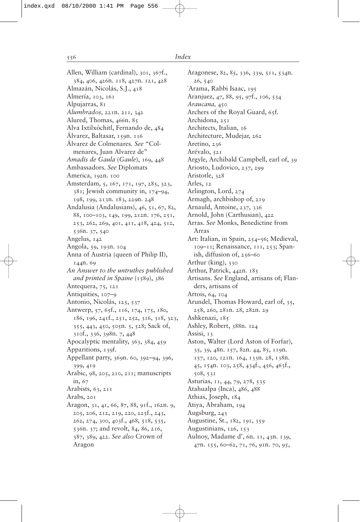Allen, William (cardinal), 301, 367f., 384, 406, 426n. 118, 427n. 121, 428 Almazán, Nicolás, S.J., 418 Almería, 103, 161 Alpujarras, 81 *Alumbrados,* 221n. 211, 342 Alured, Thomas, 466n. 85 Alva Ixtilxóchitl, Fernando de, 484 Álvarez, Baltasar, 159n. 116 Álvarez de Colmenares. *See* "Colmenares, Juan Alvarez de" *Amadís de Gaula* (*Gaule*), 169, 448 Ambassadors. *See* Diplomats America, 192n. 100 Amsterdam, 5, 167, 171, 197, 285, 323, 381; Jewish community in, 174–94, 198, 199, 213n. 183, 229n. 248 Andalusia (Andalusians), 46, 51, 67, 82, 88, 100–103, 149, 199, 212n. 176, 251, 253, 262, 269, 401, 411, 418, 424, 512, 536n. 37, 540 Angelus, 142 Angola, 59, 193n. 104 Anna of Austria (queen of Philip II), 144n. 69 *An Answer to the untruthes published* and printed in Spaine (1589), 386 Antequera, 75, 121 Antiquities, 107-9 Antonio, Nicolás, 125, 537 Antwerp, 57, 65f., 116, 174, 175, 180, 186, 196, 241f., 251, 252, 316, 318, 323, 355, 443, 450, 505n. 5, 528; Sack of, 310f., 336, 398n. 7, 448 Apocalyptic mentality, 363, 384, 459 Apparitions, 139f. Appellant party, 369n. 60, 392–94, 396, 399, 419 Arabic, 98, 205, 210, 211; manuscripts in, 67 Arabists,  $63$ ,  $211$ Arabs, 201 Aragon, 31, 41, 66, 87, 88, 91f., 162n. 9, 205, 206, 212, 219, 220, 225f., 243, 262, 274, 300, 403f., 468, 518, 535, 536n. 37; and revolt, 84, 86, 216, 387, 389, 422. *See also* Crown of Aragon

Aragonese, 82, 85, 336, 339, 511, 534n. 26, 540 `Arama, Rabbi Isaac, 195 Aranjuez, 47, 88, 95, 97f., 106, 534 *Araucana,* 450 Archers of the Royal Guard, 65f. Archidona, 251 Architects, Italian, 16 Architecture, Mudejar, 262 Aretino, 236 Arévalo, 521 Argyle, Archibald Campbell, earl of, 39 Ariosto, Ludovico, 237, 299 Aristotle, 328 Arles, 12 Arlington, Lord, 274 Armagh, archbishop of, 219 Arnauld, Antoine, 237, 336 Arnold, John (Carthusian), 422 Arras. *See* Monks, Benedictine from Arras Art: Italian, in Spain, 254–56; Medieval, 109–11; Renaissance, 111, 253; Spanish, diffusion of, 256–60 Arthur (king), 330 Arthur, Patrick, 442n. 185 Artisans. *See* England, artisans of; Flanders, artisans of Artois, 64, 104 Arundel, Thomas Howard, earl of, 35, 258, 260, 281n. 28, 282n. 29 Ashkenazi, 185 Ashley, Robert, 388n. 124 Assisi, 13 Aston, Walter (Lord Aston of Forfar), 35, 39, 48n. 157, 82n. 44, 85, 119n. 157, 120, 121n. 164, 133n. 28, 138n. 45, 154n. 103, 258, 434f., 456, 463f., 508, 531 Asturias, 11, 44, 79, 278, 535 Atahualpa (Inca), 486, 488 Athias, Joseph, 184 Atiya, Abraham, 194 Augsburg, 243 Augustine, St., 182, 191, 359 Augustinians, 126, 153 Aulnoy, Madame d', 6n. 11, 43n. 139, 47n. 155, 60–62, 71, 76, 91n. 70, 95,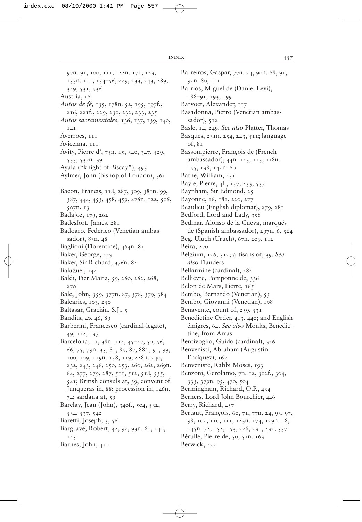97n. 91, 100, 111, 122n. 171, 123, 153n. 101, 154–56, 229, 233, 243, 289, 349, 531, 536 Austria, 16 *Autos de fé,* 135, 178n. 52, 195, 197f., 216, 221f., 229, 230, 232, 233, 235 *Autos sacramentales,* 136, 137, 139, 140, 141 Averroes, 111 Avicenna, 111 Avity, Pierre d', 75n. 15, 340, 347, 529, 533, 537n. 39 Ayala ("knight of Biscay"), 493 Aylmer, John (bishop of London), 361 Bacon, Francis, 118, 287, 309, 381n. 99, 387, 444, 453, 458, 459, 476n. 122, 506, 507n. 13 Badajoz, 179, 262 Badesfort, James, 281 Badoaro, Federico (Venetian ambassador), 83n. 48 Baglioni (Florentine), 464n. 81 Baker, George, 449 Baker, Sir Richard, 376n. 82 Balaguer, 144 Baldi, Pier Maria, 59, 260, 262, 268, 270 Bale, John, 359, 377n. 87, 378, 379, 384 Balearics, 103, 250 Baltasar, Gracián, S.J., 5 Bandits, 40, 46, 89 Barberini, Francesco (cardinal-legate), 49, 112, 137 Barcelona, 11, 38n. 114, 45–47, 50, 56, 66, 75, 79n. 35, 81, 85, 87, 88f., 91, 99, 100, 109, 119n. 158, 119, 228n. 240, 232, 243, 246, 250, 253, 260, 262, 269n. 64, 277, 279, 287, 511, 512, 518, 535, 541; British consuls at, 39; convent of Junqueras in, 88; procession in, 146n. 74; sardana at, 59 Barclay, Jean (John), 340f., 504, 532, 534, 537, 542 Baretti, Joseph, 3, 56 Bargrave, Robert, 42, 92, 93n. 81, 140, 145 Barnes, John, 410

Barreiros, Gaspar, 77n. 24, 90n. 68, 91, 92n. 80, 111 Barrios, Miguel de (Daniel Levi), 188–91, 193, 199 Barvoet, Alexander, 117 Basadonna, Pietro (Venetian ambassador),  $512$ Basle, 14, 249. *See also* Platter, Thomas Basques, 231n. 254, 243, 511; language of, 81 Bassompierre, François de (French ambassador), 44n. 143, 113, 118n. 155, 138, 142n. 60 Bathe, William, 451 Bayle, Pierre, 4f., 157, 233, 537 Baynham, Sir Edmond, 25 Bayonne, 16, 181, 220, 277 Beaulieu (English diplomat), 279, 281 Bedford, Lord and Lady, 358 Bedmar, Alonso de la Cueva, marqués de (Spanish ambassador), 297n. 6, 524 Beg, Uluch (Uruch), 67n. 209, 112 Beira, 270 Belgium, 126, 512; artisans of, 39. *See also* Flanders Bellarmine (cardinal), 282 Bellièvre, Pomponne de, 336 Belon de Mars, Pierre, 165 Bembo, Bernardo (Venetian), 55 Bembo, Giovanni (Venetian), 108 Benavente, count of, 259, 531 Benedictine Order, 413, 440; and English émigrés, 64. *See also* Monks, Benedictine, from Arras Bentivoglio, Guido (cardinal), 326 Benvenisti, Abraham (Augustín Enríquez), 167 Benveniste, Rabbi Moses, 193 Benzoni, Gerolamo, 7n. 12, 302f., 304, 333, 379n. 95, 470, 504 Bermingham, Richard, O.P., 434 Berners, Lord John Bourchier, 446 Berry, Richard, 457 Bertaut, François, 60, 71, 77n. 24, 93, 97, 98, 102, 110, 111, 123n. 174, 129n. 18, 145n. 72, 152, 153, 228, 231, 232, 537 Bérulle, Pierre de, 50, 51n. 163 Berwick, 422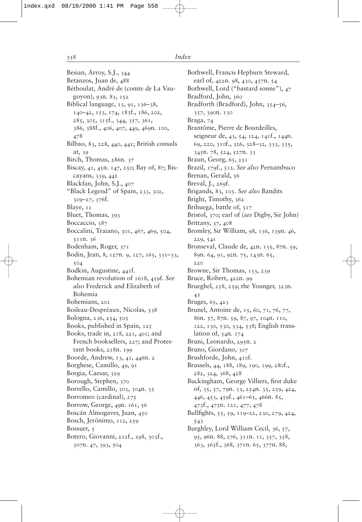Besian, Arroy, S.J., 344 Betanzos, Juan de, 488 Béthoulat, André de (comte de La Vaugoyon), 93n. 83, 152 Biblical language, 13, 91, 136-38, 140–42, 153, 174, 183f., 186, 202, 285, 305, 315f., 344, 357, 361, 386, 388f., 406, 407, 449, 469n. 100, 478 Bilbao, 83, 228, 440, 441; British consuls at, 39 Birch, Thomas, 286n. 37 Biscay, 41, 45n. 147, 250; Bay of, 87; Biscayans, 339, 442 Blackfan, John, S.J., 407 "Black Legend" of Spain, 233, 302, 309–27, 376f. Blaye, 11 Bluet, Thomas, 393 Boccaccio, 387 Boccalini, Traiano, 301, 467, 469, 504, 511n. 36 Bodenham, Roger, 371 Bodin, Jean, 8, 127n. 9, 127, 165, 331–33, 504 Bodkin, Augustine, 441f. Bohemian revolution of 1618, 459f. *See also* Frederick and Elizabeth of Bohemia Bohemians, 201 Boileau-Despréaux, Nicolas, 538 Bologna, 236, 254, 505 Books, published in Spain, 125 Books, trade in, 218, 221, 401; and French booksellers, 227; and Protestant books, 218n. 199 Boorde, Andrew, 13, 41, 446n. 2 Borghese, Camillo, 49, 91 Borgia, Caesar, 329 Borough, Stephen, 370 Borrello, Camillo, 303, 304n. 35 Borromeo (cardinal), 275 Borrow, George, 49n. 161, 56 Boscán Almogaver, Juan, 450 Bosch, Jerónimo, 112, 259 Bossuet, 5 Botero, Giovanni, 212f., 298, 303f., 307n. 47, 393, 504

Bothwell, Francis Hepburn Steward, earl of, 422n. 98, 430, 457n. 54 Bothwell, Lord ("bastard sonne"), 47 Bradford, John, 360 Bradforth (Bradford), John, 354–56, 357, 390n. 130 Braga, 74 Brantôme, Pierre de Bourdeilles, seigneur de, 43, 54, 124, 141f., 144n. 69, 220, 310f., 326, 328–32, 333, 335, 345n. 78, 524, 527n. 33 Braun, Georg, 65, 251 Brazil, 179f., 512. *See also* Pernambuco Brenan, Gerald, 56 Breval, J., 269f. Brigands, 83, 105. *See also* Bandits Bright, Timothy, 362 Brihuega, battle of, 517 Bristol, 370; earl of (*see* Digby, Sir John) Brittany, 37, 408 Bromley, Sir William, 98, 136, 139n. 46, 229, 541 Bronseval, Claude de, 42n. 135, 87n. 59, 89n. 64, 91, 92n. 75, 143n. 65, 220 Browne, Sir Thomas, 133, 239 Bruce, Robert, 422n. 99 Brueghel, 258, 259; the Younger, 323n. 43 Bruges, 65, 423 Brunel, Antoine de, 15, 60, 71, 76, 77, 86n. 57, 87n. 59, 87, 97, 104n. 110, 122, 130, 530, 534, 538; English translation of, 54n. 174 Bruni, Leonardo, 295n. 2 Bruno, Giordano, 307 Brushforde, John, 410f. Brussels, 44, 188, 189, 190, 199, 280f., 282, 324, 368, 428 Buckingham, George Villiers, first duke of, 35, 57, 79n. 33, 254n. 35, 259, 424, 446, 453, 459f., 461–65, 466n. 85, 473f., 475n. 121, 477, 478 Bullfights, 55, 59, 119–22, 230, 279, 424, 543 Burghley, Lord William Cecil, 36, 57, 95, 96n. 88, 276, 311n. 11, 357, 358, 363, 365f., 368, 371n. 65, 377n. 88,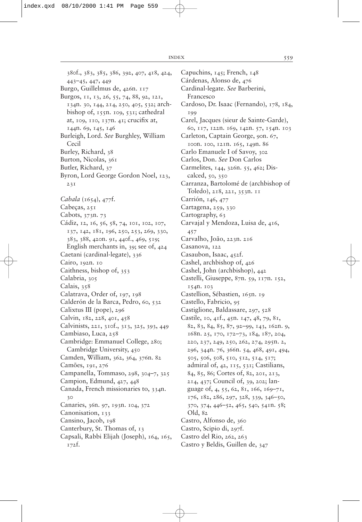380f., 383, 385, 386, 392, 407, 418, 424, 443–45, 447, 449 Burgo, Guillelmus de, 426n. 117 Burgos, 11, 13, 26, 55, 74, 88, 92, 121, 134n. 30, 144, 214, 250, 405, 532; archbishop of,  $155n$ . 109,  $531$ ; cathedral at,  $109$ ,  $110$ ,  $137n$ .  $41$ ; crucifix at, 144n. 69, 145, 146 Burleigh, Lord. *See* Burghley, William Cecil Burley, Richard, 38 Burton, Nicolas, 361 Butler, Richard, 37 Byron, Lord George Gordon Noel, 123, 231 *Cabala* (1654), 477f. Cabeças, 251 Cabots, 373n. 73 Cádiz, 12, 16, 56, 58, 74, 101, 102, 107, 137, 142, 181, 196, 250, 253, 269, 330, 383, 388, 420n. 91, 440f., 469, 519; English merchants in, 39; see of, 424 Caetani (cardinal-legate), 336 Cairo, 192n. 10 Caithness, bishop of, 353 Calabria, 305 Calais, 358 Calatrava, Order of, 197, 198 Calderón de la Barca, Pedro, 60, 532 Calixtus III (pope), 296 Calvin, 182, 228, 401, 458 Calvinists, 221, 310f., 313, 325, 393, 449 Cambiaso, Luca, 258 Cambridge: Emmanuel College, 280; Cambridge University, 450 Camden, William, 362, 364, 376n. 82 Camões, 191, 276 Campanella, Tommaso, 298, 304–7, 325 Campion, Edmund, 427, 448 Canada, French missionaries to, 334n. 30 Canaries, 36n. 97, 193n. 104, 372 Canonisation, 133 Cansino, Jacob, 198 Canterbury, St. Thomas of, 13 Capsali, Rabbi Elijah (Joseph), 164, 165, 172f.

Capuchins, 145; French, 148 Cárdenas, Alonso de, 476 Cardinal-legate. *See* Barberini, Francesco Cardoso, Dr. Isaac (Fernando), 178, 184, 199 Carel, Jacques (sieur de Sainte-Garde), 60, 117, 122n. 169, 142n. 57, 154n. 103 Carleton, Captain George, 90n. 67, 100n. 100, 121n. 165, 149n. 86 Carlo Emanuele I of Savoy, 302 Carlos, Don. *See* Don Carlos Carmelites, 144, 326n. 55, 462; Discalced, 50, 350 Carranza, Bartolomé de (archbishop of Toledo), 218, 221, 353n. 11 Carrión, 146, 477 Cartagena, 259, 330 Cartography, 63 Carvajal y Mendoza, Luisa de, 416, 457 Carvalho, João, 223n. 216 Casanova, 122 Casaubon, Isaac, 452f. Cashel, archbishop of, 426 Cashel, John (archbishop), 442 Castelli, Giuseppe, 87n. 59, 117n. 152, 154n. 103 Castellion, Sébastien, 165n. 19 Castello, Fabricio, 95 Castiglione, Baldassare, 297, 528 Castile, 10, 41f., 45n. 147, 48, 79, 81, 82, 83, 84, 85, 87, 92–99, 143, 162n. 9, 168n. 25, 170, 172–73, 184, 187, 204, 220, 237, 249, 250, 262, 274, 295n. 2, 296, 344n. 76, 366n. 54, 468, 491, 494, 505, 506, 508, 510, 512, 514, 517; admiral of, 42, 115, 531; Castilians, 84, 85, 86; Cortes of, 82, 201, 213, 214, 437; Council of, 39, 202; language of, 4, 55, 62, 81, 166, 169–71, 176, 182, 286, 297, 328, 339, 346–50, 370, 374, 446–52, 465, 540, 541n. 58; Old, 82 Castro, Alfonso de, 360 Castro, Scipio di, 297f. Castro del Rio, 262, 263 Castro y Beldis, Guillen de, 347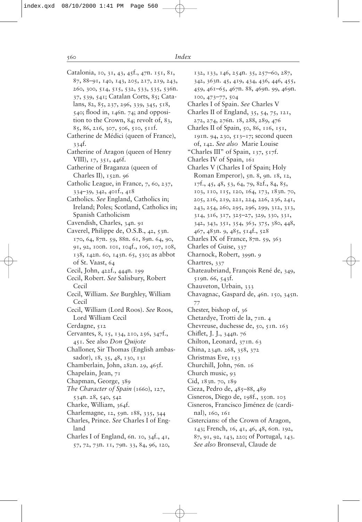| Catalonia, 10, 31, 43, 45f., 47n. 151, 81, |
|--------------------------------------------|
| 87, 88-91, 140, 143, 205, 217, 219, 243,   |
| 260, 300, 514, 515, 532, 533, 535, 536n.   |
| 37, 539, 541; Catalan Corts, 85; Cata-     |
|                                            |
| lans, 82, 85, 237, 296, 339, 345, 518,     |
| 540; flood in, 146n. 74; and opposi-       |
| tion to the Crown, 84; revolt of, 83,      |
| 85, 86, 216, 307, 506, 510, 511f.          |
| Catherine de Médici (queen of France),     |
| 334t.                                      |
| Catherine of Aragon (queen of Henry        |
| VIII), 17, 351, 446f.                      |
| Catherine of Braganza (queen of            |
|                                            |
| Charles II), 152n. 96                      |
| Catholic League, in France, 7, 60, 237,    |
| 334–39, 342, 401f., 418                    |
| Catholics. See England, Catholics in;      |
| Ireland; Poles; Scotland, Catholics in;    |
| Spanish Catholicism                        |
| Cavendish, Charles, 34n. 91                |
| Caverel, Philippe de, O.S.B., 42, 53n.     |
|                                            |
| 170, 64, 87n. 59, 88n. 61, 89n. 64, 90,    |
| 91, 92, 100n. 101, 104f., 106, 107, 108,   |
| 138, 142n. 60, 143n. 65, 530; as abbot     |
| of St. Vaast, 64                           |
| Cecil, John, 422f., 444n. 199              |
| Cecil, Robert. See Salisbury, Robert       |
| Cecil                                      |
| Cecil, William. See Burghley, William      |
|                                            |
| Cecil                                      |
| Cecil, William (Lord Roos). See Roos,      |
| Lord William Cecil                         |
| Cerdagne, 512                              |
| Cervantes, 8, 15, 134, 210, 256, 347f.,    |
| 451. See also Don Quijote                  |
| Challoner, Sir Thomas (English ambas-      |
| sador), 18, 35, 48, 130, 131               |
| Chamberlain, John, 282n. 29, 465f.         |
|                                            |
| Chapelain, Jean, 71                        |
| Chapman, George, 389                       |
| The Character of Spain (1660), 127,        |
| 534n. 28, 540, 542                         |
| Charke, William, 364f.                     |
| Charlemagne, 12, 59n. 188, 335, 344        |
| Charles, Prince. See Charles I of Eng-     |
| land                                       |
|                                            |
| Charles I of England, 6n. 10, 34f., 41,    |
| 57, 72, 73n. 11, 79n. 33, 84, 96, 120,     |
|                                            |
|                                            |

| 132, 133, 146, 254n. 35, 257-60, 287,   |
|-----------------------------------------|
| 342, 363n. 45, 419, 434, 436, 446, 455, |
| 459, 461-65, 467n. 88, 469n. 99, 469n.  |
| 100, 473-77, 504                        |
| Charles I of Spain. See Charles V       |
| Charles II of England, 35, 54, 75, 121, |
| 272, 274, 276n. 18, 288, 289, 476       |
| Charles II of Spain, 50, 86, 116, 151,  |
| 191n. 94, 230, 513-17; second queen     |
| of, 142. See also Marie Louise          |
| "Charles III" of Spain, 137, 517f.      |
| Charles IV of Spain, 161                |
| Charles V (Charles I of Spain; Holy     |
| Roman Emperor), 5n. 8, 9n. 18, 12,      |
|                                         |
| 17f., 45, 48, 53, 64, 79, 82f., 84, 85, |
| 103, 110, 115, 120, 164, 173, 183n. 70, |
| 205, 216, 219, 221, 224, 226, 236, 241, |
| 243, 254, 260, 295, 296, 299, 312, 313, |
| 314, 316, 317, 325-27, 329, 330, 331,   |
| 342, 343, 351, 354, 363, 375, 380, 448, |
| 467, 483n. 9, 485, 514f., 528           |
| Charles IX of France, 87n. 59, 363      |
| Charles of Guise, 337                   |
| Charnock, Robert, 399n. 9               |
| Chartres, 337                           |
| Chateaubriand, François René de, 349,   |
| 519n. 66, 543f.                         |
| Chauveton, Urbain, 333                  |
| Chavagnac, Gaspard de, 46n. 150, 345n.  |
| 77                                      |
| Chester, bishop of, 36                  |
| Chetardye, Trotti de la, 71n. 4         |
| Chevreuse, duchesse de, 50, 51n. 163    |
| Chiflet, J. J., 344n. 76                |
| Chilton, Leonard, 37In. 63              |
| China, 234n. 268, 358, 372              |
| Christmas Eve, 153                      |
| Churchill, John, 76n. 16                |
| Church music, 93                        |
| Cid, 183n. 70, 189                      |
| Cieza, Pedro de, 485-88, 489            |
| Cisneros, Diego de, 198f., 350n. 103    |
| Cisneros, Francisco Jiménez de (cardi-  |
| nal), 160, 161                          |
| Cistercians: of the Crown of Aragon,    |
| 143; French, 16, 41, 46, 48, 60n. 192,  |
| 87, 91, 92, 143, 220; of Portugal, 143. |
| See also Bronseval, Claude de           |
|                                         |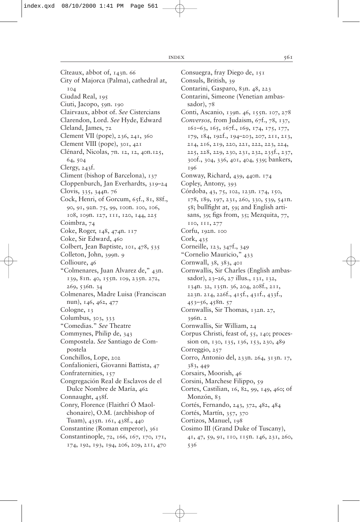Cîteaux, abbot of, 143n. 66 City of Majorca (Palma), cathedral at, 104 Ciudad Real, 195 Ciuti, Jacopo, 59n. 190 Clairvaux, abbot of. *See* Cistercians Clarendon, Lord. *See* Hyde, Edward Cleland, James, 72 Clement VII (pope), 236, 241, 360 Clement VIII (pope), 301, 421 Clénard, Nicolas, 7n. 12, 12, 40n.125, 64, 504 Clergy, 243f. Climent (bishop of Barcelona), 137 Cloppenburch, Jan Everhardts, 319–24 Clovis, 335, 344n. 76 Cock, Henri, of Gorcum, 65f., 81, 88f., 90, 91, 92n. 75, 99, 100n. 100, 106, 108, 109n. 127, 111, 120, 144, 225 Coimbra, 74 Coke, Roger, 148, 474n. 117 Coke, Sir Edward, 460 Colbert, Jean Baptiste, 101, 478, 535 Colleton, John, 399n. 9 Collioure, 46 "Colmenares, Juan Alvarez de," 43n. 139, 81n. 40, 155n. 109, 235n. 272, 269, 536n. 34 Colmenares, Madre Luisa (Franciscan nun), 146, 462, 477 Cologne, 13 Columbus, 303, 333 "Comedias." *See* Theatre Commynes, Philip de, 343 Compostela. *See* Santiago de Compostela Conchillos, Lope, 202 Confalionieri, Giovanni Battista, 47 Confraternities, 157 Congregación Real de Esclavos de el Dulce Nombre de María, 462 Connaught, 438f. Conry, Florence (Flaithrí Ó Maolchonaire), O.M. (archbishop of Tuam), 435n. 161, 438f., 440 Constantine (Roman emperor), 361 Constantinople, 72, 166, 167, 170, 171, 174, 192, 193, 194, 206, 209, 211, 470

Consuegra, fray Diego de, 151 Consuls, British, 39 Contarini, Gasparo, 83n. 48, 223 Contarini, Simeone (Venetian ambassador),  $78$ Conti, Ascanio, 139n. 46, 155n. 107, 278 *Conversos,* from Judaism, 67f., 78, 137, 161–63, 165, 167f., 169, 174, 175, 177, 179, 184, 192f., 194–203, 207, 211, 213, 214, 216, 219, 220, 221, 222, 223, 224, 225, 228, 229, 230, 231, 232, 235f., 237, 300f., 304, 336, 401, 404, 539; bankers, 196 Conway, Richard, 439, 440n. 174 Copley, Antony, 393 Córdoba, 43, 75, 102, 123n. 174, 150, 178, 189, 197, 231, 260, 330, 539, 541n.  $58$ ; bullfight at,  $59$ ; and English artisans, 39; figs from,  $35$ ; Mezquita,  $77$ , 110, 111, 277 Corfu, 192n. 100 Cork, 435 Corneille, 123, 347f., 349 "Cornelio Mauricio," 433 Cornwall, 38, 383, 401 Cornwallis, Sir Charles (English ambassador), 23–26, 27 illus., 131, 132, 134n. 32, 135n. 36, 204, 208f., 211, 223n. 214, 226f., 415f., 431f., 433f., 453–56, 458n. 57 Cornwallis, Sir Thomas, 132n. 27, 396n. 2 Cornwallis, Sir William, 24 Corpus Christi, feast of, 55, 140; procession on, 130, 135, 136, 153, 230, 489 Correggio, 257 Corro, Antonio del, 233n. 264, 313n. 17, 383, 449 Corsairs, Moorish, 46 Corsini, Marchese Filippo, 59 Cortes, Castilian, 16, 82, 99, 149, 460; of Monzón, 83 Cortés, Fernando, 243, 372, 482, 484 Cortés, Martín, 357, 370 Cortizos, Manuel, 198 Cosimo III (Grand Duke of Tuscany), 41, 47, 59, 91, 110, 115n. 146, 231, 260, 536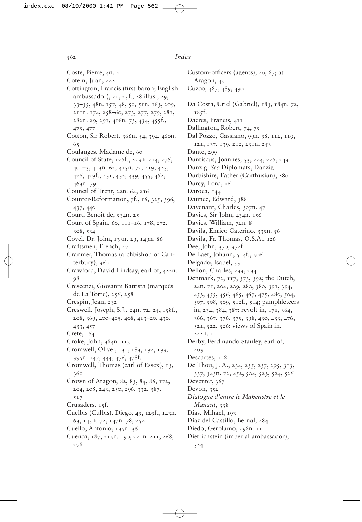Coste, Pierre, 4n. 4 Cotein, Juan, 222 Cottington, Francis (first baron; English ambassador), 21, 25f., 28 illus., 29, 33–35, 48n. 157, 48, 50, 51n. 163, 209, 211n. 174, 258–60, 273, 277, 279, 281, 282n. 29, 291, 416n. 73, 434, 455f., 475, 477 Cotton, Sir Robert, 366n. 54, 394, 460n. 65 Coulanges, Madame de, 60 Council of State, 126f., 223n. 214, 276, 401–3, 413n. 62, 415n. 72, 419, 423, 426, 429f., 431, 432, 439, 455, 462, 463n. 79 Council of Trent, 22n. 64, 216 Counter-Reformation, 7f., 16, 325, 396, 437, 440 Court, Benoît de, 534n. 25 Court of Spain, 60, 111–16, 178, 272, 308, 534 Covel, Dr. John, 133n. 29, 149n. 86 Craftsmen, French, 47 Cranmer, Thomas (archbishop of Canterbury), 360 Crawford, David Lindsay, earl of, 422n. 98 Crescenzi, Giovanni Battista (marqués de La Torre), 256, 258 Crespin, Jean, 232 Creswell, Joseph, S.J., 24n. 72, 25, 158f., 208, 369, 400–405, 408, 413–20, 430, 433, 457 Crete, 164 Croke, John, 384n. 115 Cromwell, Oliver, 130, 183, 192, 193, 395n. 147, 444, 476, 478f. Cromwell, Thomas (earl of Essex), 13, 360 Crown of Aragon, 82, 83, 84, 86, 172, 204, 208, 243, 250, 296, 332, 387, 517 Crusaders, 15f. Cuelbis (Culbis), Diego, 49, 129f., 143n. 63, 145n. 72, 147n. 78, 252 Cuello, Antonio, 135n. 36 Cuenca, 187, 215n. 190, 221n. 211, 268,

278

Custom-officers (agents),  $40, 87$ ; at Aragon, 45 Cuzco, 487, 489, 490 Da Costa, Uriel (Gabriel), 183, 184n. 72, 185f. Dacres, Francis, 411 Dallington, Robert, 74, 75 Dal Pozzo, Cassiano, 99n. 98, 112, 119, 121, 137, 139, 212, 231n. 253 Dante, 299 Dantiscus, Joannes, 53, 224, 226, 243 Danzig. *See* Diplomats, Danzig Darbishire, Father (Carthusian), 280 Darcy, Lord, 16 Daroca, 144 Daunce, Edward, 388 Davenant, Charles, 307n. 47 Davies, Sir John, 434n. 156 Davies, William, 72n. 8 Davila, Enrico Caterino, 339n. 56 Davila, Fr. Thomas, O.S.A., 126 Dee, John, 370, 372f. De Laet, Johann, 504f., 506 Delgado, Isabel, 53 Dellon, Charles, 233, 234 Denmark, 72, 117, 373, 392; the Dutch, 24n. 71, 204, 209, 280, 380, 391, 394, 453, 455, 456, 465, 467, 475, 480, 504, 507, 508, 509, 512f., 514; pamphleteers in, 234, 384, 387; revolt in, 171, 364, 366, 367, 376, 379, 398, 430, 433, 476, 521, 522, 526; views of Spain in, 242n. 1 Derby, Ferdinando Stanley, earl of, 403 Descartes,  $118$ De Thou, J. A., 234, 235, 237, 295, 313, 337, 343n. 72, 452, 504, 523, 524, 526 Deventer, 367 Devon, 352 *Dialogue d'entre le Maheustre et le Manant*, 338 Dias, Mihael, 193 Díaz del Castillo, Bernal, 484 Diedo, Gerolamo, 298n. 11 Dietrichstein (imperial ambassador), 524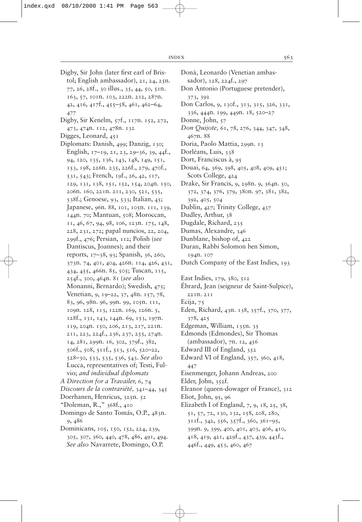Digby, Sir John (later first earl of Bristol; English ambassador), 21, 24, 25n. 77, 26, 28f., 30 illus., 35, 44, 50, 51n. 163, 57, 101n. 103, 222n. 212, 287n. 42, 416, 417f., 455–58, 461, 462–64, 477 Digby, Sir Kenelm, 57f., 117n. 152, 272, 473, 474n. 112, 478n. 132 Digges, Leonard, 451 Diplomats: Danish, 499; Danzig, 130; English, 17–19, 21, 23, 29–36, 39, 44f., 94, 120, 135, 136, 143, 148, 149, 151, 153, 198, 226n. 235, 226f., 279, 470f., 531, 543; French, 19f., 26, 42, 117, 129, 131, 138, 151, 152, 154, 204n. 150, 206n. 160, 221n. 211, 230, 521, 535, 538f.; Genoese, 93, 533; Italian, 45; Japanese, 96n. 88, 101, 105n. 111, 139, 144n. 70; Mantuan, 508; Moroccan, 11, 46, 67, 94, 98, 106, 123n. 175, 148, 228, 231, 272; papal nuncios, 22, 204, 299f., 476; Persian, 112; Polish (*see* Dantiscus, Joannes); and their reports, 17–38, 93; Spanish, 36, 260, 373n. 74, 401, 404, 426n. 114, 426, 431, 434, 455, 466n. 85, 505; Tuscan, 115, 254f., 300, 464n. 81 (*see also* Monanni, Bernardo); Swedish, 475; Venetian, 9, 19–22, 37, 48n. 157, 78, 83, 96, 98n. 96, 99n. 99, 105n. 111, 109n. 128, 113, 122n. 169, 126n. 5, 128f., 131, 143, 144n. 69, 153, 197n. 119, 204n. 150, 206, 213, 217, 221n. 211, 223, 224f., 236, 237, 255, 274n. 14, 281, 299n. 16, 302, 379f., 382, 506f., 508, 511f., 513, 516, 520–22, 528–30, 533, 535, 536, 543. *See also* Lucca, representatives of; Testi, Fulvio; *and individual diplomats A Direction for a Travailer,* 6, 74 *Discours de la contrariété,* 341–44, 345 Doerhanen, Henricus, 325n. 52 "Doleman, R.," 368f., 410 Domingo de Santo Tomás, O.P., 483n. 9, 486 Dominicans, 105, 150, 152, 224, 239, 305, 307, 360, 440, 478, 486, 491, 494. *See also* Navarrete, Domingo, O.P.

Donà, Leonardo (Venetian ambassador), 128, 224f., 297 Don Antonio (Portuguese pretender), 373, 392 Don Carlos, 9, 130f., 313, 315, 326, 331, 336, 444n. 199, 449n. 18, 520–27 Donne, John, 57 *Don Quijote,* 61, 78, 276, 344, 347, 348, 467n. 88 Doria, Paolo Mattia, 299n. 13 Dorléans, Luis, 338 Dort, Franciscus à, 95 Douai, 64, 369, 398, 405, 408, 409, 451; Scots College, 424 Drake, Sir Francis, 9, 298n. 9, 364n. 50, 372, 374, 376, 379, 380n. 97, 381, 382, 392, 405, 504 Dublin, 427; Trinity College, 437 Dudley, Arthur, 38 Dugdale, Richard, 235 Dumas, Alexandre, 346 Dunblane, bishop of, 422 Duran, Rabbi Solomon ben Simon, 194n. 107 Dutch Company of the East Indies, 193 East Indies, 179, 380, 512 Ébrard, Jean (seigneur de Saint-Sulpice), 221n. 211 Ecija, 75 Eden, Richard, 43n. 138, 357f., 370, 377, 378, 425 Edgeman, William, 135n. 35 Edmonds (Edmondes), Sir Thomas (ambassador), 7n. 12, 456 Edward III of England, 352 Edward VI of England, 357, 360, 418, 447 Eisenmenger, Johann Andreas, 200 Elder, John, 352f. Eleanor (queen-dowager of France), 312 Eliot, John, 95, 96 Elizabeth I of England,  $7, 9, 18, 25, 38,$ 51, 57, 72, 130, 132, 158, 208, 280, 311f., 342, 356, 357f., 360, 361–95, 399n. 9, 399, 400, 401, 403, 406, 410, 418, 419, 421, 429f., 437, 439, 443f., 446f., 449, 453, 460, 467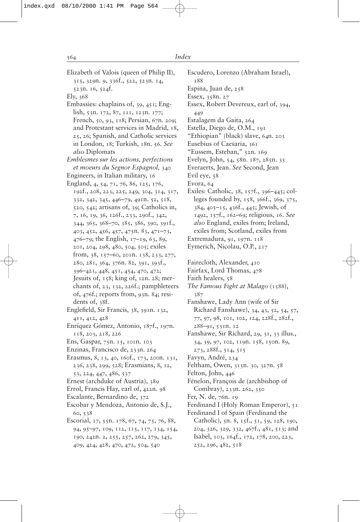188

Espina, Juan de, 258 Essex, 358n. 27

| Elizabeth of Valois (queen of Philip II),   |
|---------------------------------------------|
| 315, 329n. 9, 336f., 522, 523n. 14,         |
| 523n. 16, 524f.                             |
| Ely, 368                                    |
| Embassies: chaplains of, 39, 451; Eng-      |
| lish, 53n. 172, 87, 111, 123n. 177;         |
| French, 50, 93, 118; Persian, 67n. 209;     |
| and Protestant services in Madrid, 18,      |
|                                             |
| 25, 26; Spanish, and Catholic services      |
| in London, 18; Turkish, 18n. 56. See        |
| also Diplomats                              |
| Emblesmes sur les actions, perfections      |
| et moeurs du Segnor Espagnol, 340           |
| Engineers, in Italian military, 16          |
| England, 4, 54, 71, 76, 86, 125, 176,       |
| 192f., 208, 223, 225, 249, 304, 314, 317,   |
| 332, 342, 345, 446-79, 491n. 52, 518,       |
| 520, 542; artisans of, 39; Catholics in,    |
| 7, 16, 19, 36, 126f., 233, 290f., 342,      |
| 344, 365, 368-70, 385, 386, 390, 391f.,     |
| 403, 452, 456, 457, 475n. 83, 471-73,       |
| 476-79; the English, 17-19, 63, 89,         |
| 201, 204, 298, 480, 504, 505; exiles        |
| from, 38, 157-60, 2011. 138, 233, 277,      |
| 280, 281, 364, 376n. 82, 391, 393f.,        |
| 396-421, 448, 451, 454, 470, 472;           |
| Jesuits of, 158; king of, 12n. 28; mer-     |
| chants of, 23, 132, 226f .; pamphleteers    |
| of, 476f.; reports from, 93n. 84; resi-     |
| dents of, 38f.                              |
| Englefield, Sir Francis, 38, 391n. 132,     |
| 411, 412, 428                               |
| Enríquez Gómez, Antonio, 187f., 197n.       |
| 118, 203, 218, 226                          |
| Ens, Gaspar, 75n. 15, 101n. 103             |
| Enzinas, Francisco de, 233n. 264            |
| Erasmus, 8, 13, 40, 160f., 173, 200n. 131,  |
| 236, 238, 299, 528; Erasmians, 8, 12,       |
| 53, 224, 447, 486, 537                      |
| Ernest (archduke of Austria), 389           |
|                                             |
| Errol, Francis Hay, earl of, 422n. 98       |
| Escalante, Bernardino de, 372               |
| Escobar y Mendoza, Antonio de, S.J.,        |
| 60, 538                                     |
| Escorial, 17, 55n. 178, 67, 74, 75, 76, 88, |
| 94, 95-97, 109, 112, 115, 117, 134, 154,    |
| 190, 242n. 2, 255, 257, 262, 279, 345,      |

409, 424, 428, 470, 472, 504, 540

Essex, Robert Devereux, earl of, 394, 449 Estalagem da Gaita, 264 Estella, Diego de, O.M., 191 "Ethiopian" (black) slave, 64n. 203 Eusebius of Caesaria, 361 "Eussem, Esteban," 52n. 169 Evelyn, John, 54, 58n. 187, 285n. 35 Everaerts, Jean. *See* Second, Jean Evil eye, 58 Evora, 64 Exiles: Catholic, 38, 157f., 396–445; colleges founded by, 158, 366f., 369, 375, 384, 405–15, 436f., 445; Jewish, of 1492, 157f., 162–69; religious, 16. *See also* England, exiles from; Ireland, exiles from; Scotland, exiles from Extremadura, 91, 197n. 118 Eymerich, Nicolau, O.P., 217 Fairecloth, Alexander, 410 Fairfax, Lord Thomas, 478 Faith healers, 58 *The Famous Fight at Malago* (1588), 387 Fanshawe, Lady Ann (wife of Sir Richard Fanshawe), 34, 43, 52, 54, 57, 77, 97, 98, 101, 102, 124, 228f., 282f., 288–91, 531n. 12 Fanshawe, Sir Richard, 29, 31, 33 illus., 34, 39, 97, 102, 119n. 158, 150n. 89, 273, 288f., 514, 515 Favyn, André, 234 Feltham, Owen, 315n. 30, 327n. 58 Felton, John, 446 Fénelon, François de (archbishop of Combray), 233n. 262, 350 Fer, N. de, 76n. 19 Ferdinand I (Holy Roman Emperor), 51 Ferdinand I of Spain (Ferdinand the Catholic), 5n. 8, 15f., 51, 59, 128, 190, 204, 326, 329, 332, 467f., 481, 513; and Isabel, 103, 164f., 172, 178, 200, 223, 252, 296, 482, 518

Escudero, Lorenzo (Abraham Israel),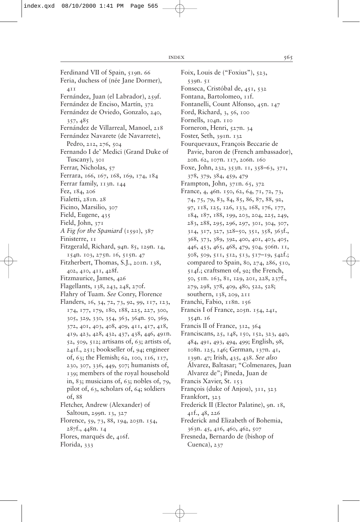Ferdinand VII of Spain, 519n. 66 Feria, duchess of (née Jane Dormer), 411 Fernández, Juan (el Labrador), 259f. Fernández de Enciso, Martín, 372 Fernández de Oviedo, Gonzalo, 240, 357, 485 Fernández de Villarreal, Manoel, 218 Fernández Navarete (de Navarrete), Pedro, 212, 276, 504 Fernando I de' Medici (Grand Duke of Tuscany), 301 Ferrar, Nicholas, 57 Ferrara, 166, 167, 168, 169, 174, 184 Ferrar family, 113n. 144 Fez, 184, 206 Fialetti, 281n. 28 Ficino, Marsilio, 307 Field, Eugene, 435 Field, John, 371 *A Fig for the Spaniard* (1591), 387 Finisterre, 11 Fitzgerald, Richard, 94n. 85, 129n. 14, 154n. 103, 275n. 16, 515n. 47 Fitzherbert, Thomas, S.J., 201n. 138, 402, 410, 411, 428f. Fitzmaurice, James, 426 Flagellants, 138, 243, 248, 270f. Flahry of Tuam. *See* Conry, Florence Flanders, 16, 34, 72, 73, 92, 99, 117, 123, 174, 177, 179, 180, 188, 225, 227, 300, 305, 329, 330, 354, 363, 364n. 50, 369, 372, 401, 403, 408, 409, 411, 417, 418, 419, 423, 428, 432, 437, 438, 446, 491n. 52, 509, 512; artisans of, 63; artists of, 241f., 251; bookseller of, 94; engineer of, 63; the Flemish; 62, 100, 116, 117, 230, 307, 336, 449, 507; humanists of, 139; members of the royal household in, 83; musicians of, 63; nobles of, 79, pilot of, 63, scholars of, 64; soldiers of, 88 Fletcher, Andrew (Alexander) of Saltoun, 299n. 13, 327

- Florence, 59, 73, 88, 194, 205n. 154, 287f., 448n. 14
- Flores, marqués de, 416f.
- Florida, 333
- Foix, Louis de ("Foxius"), 523, 539n. 51 Fonseca, Cristóbal de, 451, 532
- Fontana, Bartolomeo, 11f.
- Fontanelli, Count Alfonso, 45n. 147
- Ford, Richard, 3, 56, 100
- Fornells, 104n. 110
- Forneron, Henri, 527n. 34
- Foster, Seth, 391n. 132
- Fourquevaux, François Beccarie de Pavie, baron de (French ambassador), 20n. 62, 107n. 117, 206n. 160
- Foxe, John, 232, 353n. 11, 358–63, 371, 378, 379, 384, 459, 479
- Frampton, John, 371n. 65, 372
- France, 4, 46n. 150, 62, 64, 71, 72, 73, 74, 75, 79, 83, 84, 85, 86, 87, 88, 92, 97, 118, 125, 126, 133, 168, 176, 177, 184, 187, 188, 199, 203, 204, 225, 249, 283, 288, 295, 296, 297, 301, 304, 307, 314, 317, 327, 328–50, 351, 358, 363f., 368, 373, 389, 392, 400, 401, 403, 405, 446, 453, 465, 468, 479, 504, 506n. 11, 508, 509, 511, 512, 513, 517–19, 542f.; compared to Spain, 80, 274, 286, 510, 514f.; craftsmen of, 92; the French, 50, 51n. 163, 81, 129, 201, 228, 237f., 279, 298, 378, 409, 480, 522, 528; southern, 138, 209, 211
- Franchi, Fabio, 118n. 156
- Francis I of France, 205n. 154, 241, 354n. 16
- Francis II of France, 312, 364
- Franciscans, 25, 148, 150, 152, 323, 440, 484, 491, 493, 494, 499; English, 98, 108n. 125, 146; German, 137n. 41, 139n. 47; Irish, 435, 438. *See also* Álvarez, Baltasar; "Colmenares, Juan Alvarez de"; Pineda, Juan de
- Francis Xavier, St. 153
- François (duke of Anjou), 311, 323
- Frankfort, 323
- Frederick II (Elector Palatine), 9n. 18, 41f., 48, 226
- Frederick and Elizabeth of Bohemia, 363n. 45, 416, 460, 462, 507
- Fresneda, Bernardo de (bishop of Cuenca), 237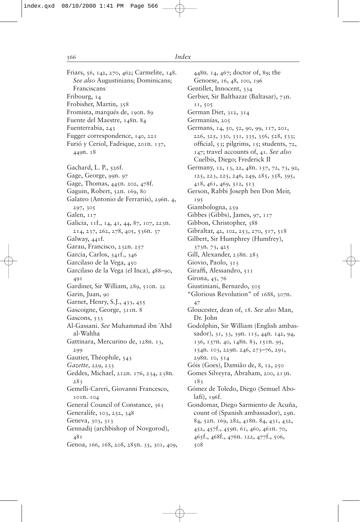Friars, 56, 142, 270, 462; Carmelite, 148. *See also* Augustinians; Dominicans; Franciscans Fribourg, 14 Frobisher, Martin, 358 Fromista, marqués de, 190n. 89 Fuente del Maestre, 148n. 84 Fuenterrabía, 243 Fugger correspondence, 140, 221 Furió y Ceriol, Fadrique, 201n. 137, 449n. 18 Gachard, L. P., 526f. Gage, George, 99n. 97 Gage, Thomas, 445n. 202, 478f. Gaguin, Robert, 52n. 169, 80 Galateo (Antonio de Ferrariis), 296n. 4, 297, 305 Galen, 117 Galicia, 11f., 14, 41, 44, 87, 107, 223n. 214, 237, 262, 278, 405, 536n. 37 Galway, 441f. Garau, Francisco, 232n. 257 García, Carlos, 341f., 346 Garcilaso de la Vega, 450 Garcilaso de la Vega (el Inca), 488–90, 491 Gardiner, Sir William, 289, 510n. 32 Garin, Juan, 90 Garnet, Henry, S.J., 433, 455 Gascoigne, George, 311n. 8 Gascons, 533 Al-Gassani. *See* Muhammad ibn `Abd al-Wahha Gattinara, Mercurino de, 128n. 13, 299 Gautier, Théophile, 543 *Gazette,* 229, 233 Geddes, Michael, 212n. 176, 234, 238n. 283 Gemelli-Careri, Giovanni Francesco, 101n. 104 General Council of Constance, 363 Generalife, 103, 252, 348 Geneva, 303, 313 Gennadij (archbishop of Novgorod), 481 Genoa, 166, 168, 208, 285n. 35, 301, 409,

448n. 14, 467; doctor of, 89; the Genoese, 16, 48, 100, 196 Gentillet, Innocent, 334 Gerbier, Sir Balthazar (Baltasar), 73n. 11, 505 German Diet, 312, 314 Germanías, 205 Germans, 14, 50, 52, 90, 99, 117, 201, 226, 325, 330, 331, 335, 356, 528, 533; official,  $53$ ; pilgrims,  $15$ ; students,  $72$ , 147; travel accounts of, 41. *See also* Cuelbis, Diego; Frederick II Germany, 12, 13, 22, 48n. 157, 72, 73, 92, 125, 223, 225, 246, 249, 285, 358, 395, 418, 461, 469, 512, 513 Gerson, Rabbi Joseph ben Don Meir, 195 Giambologna, 259 Gibbes (Gibbs), James, 97, 117 Gibbon, Christopher, 388 Gibraltar, 42, 102, 253, 270, 517, 518 Gilbert, Sir Humphrey (Humfrey), 373n. 73, 425 Gill, Alexander, 238n. 283 Giovio, Paolo, 313 Giraffi, Alessandro, 511 Girona, 45, 76 Giustiniani, Bernardo, 505 "Glorious Revolution" of 1688, 307n. 47 Gloucester, dean of, 18. *See also* Man, Dr. John Godolphin, Sir William (English ambassador), 31, 33, 39n. 115, 44n. 142, 94, 136, 137n. 40, 148n. 83, 151n. 95, 154n. 103, 229n. 246, 273–76, 291, 298n. 10, 514 Góis (Goes), Damião de, 8, 12, 250 Gomes Silveyra, Abraham, 200, 213n. 183 Gómez de Toledo, Diego (Semuel Abolafí), 196f. Gondomar, Diego Sarmiento de Acuña, count of (Spanish ambassador), 29n. 84, 52n. 169, 282, 418n. 84, 431, 432, 452, 457f., 459n. 61, 460, 461n. 70, 465f., 468f., 476n. 122, 477f., 506, 508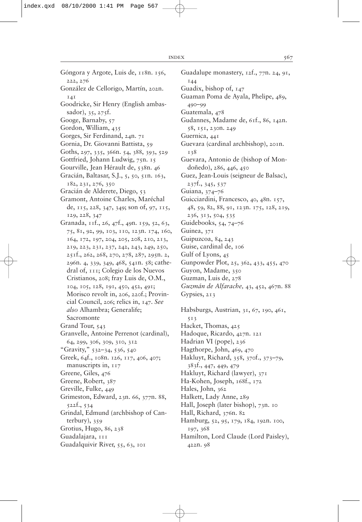Góngora y Argote, Luis de, 118n. 156, 222, 276 González de Cellorigo, Martín, 202n. 141 Goodricke, Sir Henry (English ambassador), 35, 275f. Googe, Barnaby, 57 Gordon, William, 435 Gorges, Sir Ferdinand, 24n. 71 Gornia, Dr. Giovanni Battista, 59 Goths, 297, 335, 366n. 54, 388, 393, 529 Gottfried, Johann Ludwig, 75n. 15 Gourville, Jean Hérault de, 538n. 46 Gracián, Baltasar, S.J., 5, 50, 51n. 163, 182, 231, 276, 350 Gracián de Alderete, Diego, 53 Gramont, Antoine Charles, Maréchal de, 115, 228, 347, 349; son of, 97, 115, 129, 228, 347 Granada, 11f., 26, 47f., 49n. 159, 52, 63, 75, 81, 92, 99, 103, 110, 123n. 174, 160, 164, 172, 197, 204, 205, 208, 210, 213, 219, 223, 231, 237, 242, 243, 249, 250, 251f., 262, 268, 270, 278, 287, 295n. 2, 296n. 4, 339, 349, 468, 541n. 58; cathedral of, 111; Colegio de los Nuevos Cristianos, 208; fray Luis de, O.M., 104, 105, 128, 191, 450, 452, 491; Morisco revolt in, 206, 220f.; Provincial Council, 206; relics in, 147. *See also* Alhambra; Generalife; Sacromonte Grand Tour, 543 Granvelle, Antoine Perrenot (cardinal), 64, 299, 306, 309, 310, 312 "Gravity," 532–34, 536, 540 Greek, 64f., 108n. 126, 117, 406, 407; manuscripts in, 117 Greene, Giles, 476 Greene, Robert, 387 Greville, Fulke, 449 Grimeston, Edward, 23n. 66, 377n. 88, 522f., 534 Grindal, Edmund (archbishop of Canterbury), 359 Grotius, Hugo, 86, 238 Guadalajara, 111 Guadalquivir River, 55, 63, 101

Guadalupe monastery, 12f., 77n. 24, 91, 144 Guadix, bishop of, 147 Guaman Poma de Ayala, Phelipe, 489, 490–99 Guatemala, 478 Gudannes, Madame de, 61f., 86, 142n. 58, 151, 230n. 249 Guernica, 441 Guevara (cardinal archbishop), 201n. 138 Guevara, Antonio de (bishop of Mondoñedo), 286, 446, 450 Guez, Jean-Louis (seigneur de Balsac), 237f., 345, 537 Guiana, 374–76 Guicciardini, Francesco, 40, 48n. 157, 48, 59, 82, 88, 91, 123n. 175, 128, 219, 236, 313, 504, 535 Guidebooks, 54, 74–76 Guinea, 371 Guipuzcoa, 84, 243 Guise, cardinal de, 106 Gulf of Lyons, 45 Gunpowder Plot, 25, 362, 433, 455, 470 Guyon, Madame, 350 Guzman, Luis de, 278 *Guzmán de Alfarache,* 43, 452, 467n. 88 Gypsies, 213 Habsburgs, Austrian, 31, 67, 190, 461, 513 Hacket, Thomas, 425 Hadoque, Ricardo, 427n. 121

- Hadrian VI (pope), 236
- 
- Hagthorpe, John, 469, 470
- Hakluyt, Richard, 358, 370f., 373–79, 383f., 447, 449, 479
- Hakluyt, Richard (lawyer), 371
- Ha-Kohen, Joseph, 168f., 172
- Hales, John, 362
- Halkett, Lady Anne, 289
- Hall, Joseph (later bishop), 73n. 10
- Hall, Richard, 376n. 82
- Hamburg, 52, 95, 179, 184, 192n. 100, 197, 368
- Hamilton, Lord Claude (Lord Paisley), 422n. 98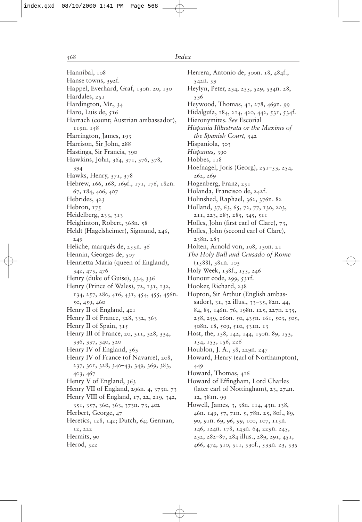Hannibal, 108 Hanse towns, 392f. Happel, Everhard, Graf, 130n. 20, 130 Hardales, 251 Hardington, Mr., 34 Haro, Luis de, 516 Harrach (count; Austrian ambassador), 119n. 158 Harrington, James, 193 Harrison, Sir John, 288 Hastings, Sir Francis, 390 Hawkins, John, 364, 371, 376, 378, 394 Hawks, Henry, 371, 378 Hebrew, 166, 168, 169f., 171, 176, 182n. 67, 184, 406, 407 Hebrides, 423 Hebron, 175 Heidelberg, 233, 313 Heighinton, Robert, 368n. 58 Heldt (Hagelsheimer), Sigmund, 246, 249 Heliche, marqués de, 255n. 36 Hennin, Georges de, 507 Henrietta Maria (queen of England), 342, 475, 476 Henry (duke of Guise), 334, 336 Henry (Prince of Wales), 72, 131, 132, 134, 257, 280, 416, 431, 454, 455, 456n. 50, 459, 460 Henry II of England, 421 Henry II of France, 328, 332, 363 Henry II of Spain, 315 Henry III of France, 20, 311, 328, 334, 336, 337, 340, 520 Henry IV of England, 363 Henry IV of France (of Navarre), 208, 237, 301, 328, 340–43, 349, 369, 383, 403, 467 Henry V of England, 363 Henry VII of England, 296n. 4, 373n. 73 Henry VIII of England, 17, 22, 219, 342, 351, 357, 360, 363, 373n. 73, 402 Herbert, George, 47 Heretics, 128, 142; Dutch, 64; German, 12, 222 Hermits, 90 Herod, 522

Herrera, Antonio de, 300n. 18, 484f., 542n. 59 Heylyn, Peter, 234, 235, 529, 534n. 28, 536 Heywood, Thomas, 41, 278, 469n. 99 Hidalguía, 184, 214, 420, 442, 531, 534f. Hieronymites. *See* Escorial *Hispania Illlustrata or the Maxims of the Spanish Court,* 542 Hispaniola, 303 *Hispanus,* 390 Hobbes,  $118$ Hoefnagel, Joris (Georg), 251–53, 254, 262, 269 Hogenberg, Franz, 251 Holanda, Francisco de, 242f. Holinshed, Raphael, 362, 376n. 82 Holland, 37, 63, 65, 72, 77, 130, 203, 211, 223, 283, 285, 345, 511 Holles, John (first earl of Clare), 73, Holles, John (second earl of Clare), 238n. 283 Holten, Arnold von, 108, 130n. 21 *The Holy Bull and Crusado of Rome* (1588), 381n. 103 Holy Week, 138f., 155, 246 Honour code, 299, 531f. Hooker, Richard, 238 Hopton, Sir Arthur (English ambassador), 31, 32 illus., 33–35, 82n. 44, 84, 85, 146n. 76, 198n. 125, 227n. 235, 258, 259, 260n. 50, 435n. 161, 503, 505, 508n. 18, 509, 510, 531n. 13 Host, the, 138, 142, 144, 150n. 89, 153, 154, 155, 156, 226 Houblon, J. A., 58, 229n. 247 Howard, Henry (earl of Northampton), 449 Howard, Thomas, 416 Howard of Effingham, Lord Charles (later earl of Nottingham), 23, 274n. 12, 381n. 99 Howell, James, 3, 38n. 114, 43n. 138, 46n. 149, 57, 71n. 5, 78n. 25, 80f., 89, 90, 91n. 69, 96, 99, 100, 107, 115n. 146, 124n. 178, 143n. 64, 229n. 245, 232, 282–87, 284 illus., 289, 291, 451,

466, 474, 510, 511, 530f., 533n. 23, 535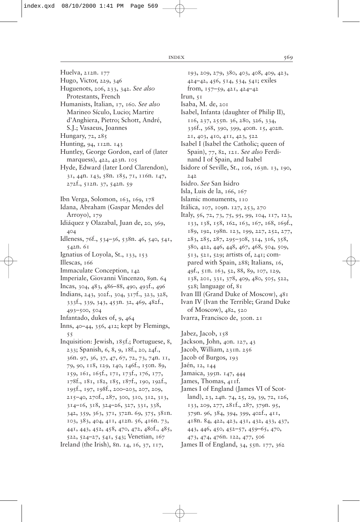- Huelva, 212n. 177
- Hugo, Victor, 229, 346
- Huguenots, 206, 233, 342. *See also* Protestants, French
- Humanists, Italian, 17, 160. *See also* Marineo Sículo, Lucio; Martire d'Anghiera, Pietro; Schott, André, S.J.; Vasaeus, Joannes
- Hungary, 72, 285
- Hunting, 94, 112n. 143
- Huntley, George Gordon, earl of (later marquess), 422, 423n. 105
- Hyde, Edward (later Lord Clarendon), 31, 44n. 143, 58n. 185, 71, 116n. 147, 272f., 512n. 37, 542n. 59
- Ibn Verga, Solomon, 163, 169, 178
- Idana, Abraham (Gaspar Mendes del Arroyo), 179
- Idiáquez y Olazabal, Juan de, 20, 369, 404
- Idleness, 76f., 534–36, 538n. 46, 540, 541, 542n. 61
- Ignatius of Loyola, St., 133, 153
- Illescas, 166
- Immaculate Conception, 142
- Imperiale, Giovanni Vincenzo, 89n. 64
- Incas, 304, 483, 486–88, 490, 493f., 496
- Indians, 243, 302f., 304, 317f., 323, 328, 333f., 339, 343, 453n. 32, 469, 482f., 493–500, 504
- Infantado, dukes of, 9, 464
- Inns, 40–44, 356, 412; kept by Flemings, 55
- Inquisition: Jewish, 185f.; Portuguese, 8, 233; Spanish, 6, 8, 9, 18f., 20, 24f., 36n. 97, 36, 37, 47, 67, 72, 73, 74n. 11, 79, 90, 118, 129, 140, 146f., 150n. 89, 159, 161, 165f., 171, 173f., 176, 177, 178f., 181, 182, 185, 187f., 190, 192f., 195f., 197, 198f., 200–203, 207, 209, 215–40, 270f., 287, 300, 310, 312, 313, 314–16, 318, 324–26, 327, 331, 338, 342, 359, 363, 371, 372n. 69, 375, 381n. 103, 383, 404, 411, 412n. 56, 416n. 73, 441, 443, 452, 458, 470, 472, 480f., 485, 522, 524–27, 541, 543; Venetian, 167 Ireland (the Irish), 8n. 14, 16, 37, 117,
- 193, 209, 279, 380, 403, 408, 409, 423, 424–42, 456, 514, 534, 541; exiles from, 157–59, 421, 424–42
- Irun,  $51$
- Isaba, M. de, 201
- Isabel, Infanta (daughter of Philip II), 116, 237, 255n. 36, 280, 326, 334, 336f., 368, 390, 399, 400n. 15, 402n. 21, 403, 410, 411, 423, 522
- Isabel I (Isabel the Catholic; queen of Spain), 77, 82, 121. *See also* Ferdinand I of Spain, and Isabel
- Isidore of Seville, St., 106, 163n. 13, 190, 242
- Isidro. *See* San Isidro
- Isla, Luis de la, 166, 167
- Islamic monuments, 110
- Itálica, 107, 109n. 127, 253, 270
- Italy, 56, 72, 73, 75, 95, 99, 104, 117, 123, 133, 138, 158, 162, 163, 167, 168, 169f., 189, 192, 198n. 123, 199, 227, 252, 277, 283, 285, 287, 295–308, 314, 316, 358, 380, 422, 446, 448, 467, 468, 504, 509, 513, 521, 529; artists of, 241; compared with Spain, 288; Italians, 16, 49f., 51n. 163, 52, 88, 89, 107, 129, 138, 201, 331, 378, 409, 480, 505, 522, 528; language of, 81
- Ivan III (Grand Duke of Moscow), 481
- Ivan IV (Ivan the Terrible; Grand Duke of Moscow), 482, 520 Ivarra, Francisco de, 300n. 21
- 
- Jabez, Jacob, 158 Jackson, John, 40n. 127, 43
- Jacob, William, 231n. 256
- Jacob of Burgos, 193
- Jaén, 12, 144
- 
- Jamaica, 395n. 147, 444
- James, Thomas, 411f.
- James I of England (James VI of Scotland), 23, 24n. 74, 25, 29, 39, 72, 126, 133, 209, 277, 281f., 287, 379n. 95, 379n. 96, 384, 394, 399, 402f., 411, 418n. 84, 422, 423, 431, 432, 433, 437, 443, 446, 450, 452–57, 459–65, 470, 473, 474, 476n. 122, 477, 506
- James II of England, 34, 55n. 177, 362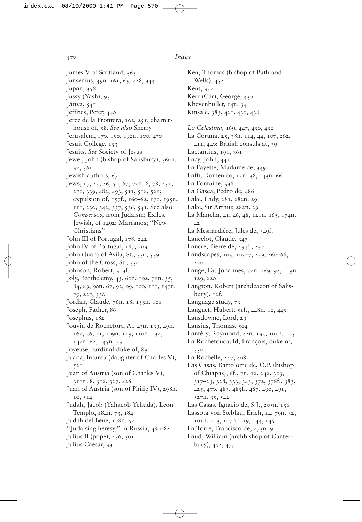James V of Scotland, 363 Jansenius, 49n. 161, 63, 228, 344 Japan, 358 Jassy (Yash), 93 Játiva, 541 Jeffries, Peter, 440 Jerez de la Frontera, 102, 251; charterhouse of, 58. *See also* Sherry Jerusalem, 170, 190, 192n. 100, 470 Jesuit College, 153 Jesuits. *See* Society of Jesus Jewel, John (bishop of Salisbury), 360n. 32, 361 Jewish authors, 67 Jews, 17, 25, 26, 50, 67, 72n. 8, 78, 251, 270, 339, 482, 493, 511, 518, 529; expulsion of, 157f., 160–62, 170, 195n. 111, 230, 342, 357, 536, 541. See also *Conversos,* from Judaism; Exiles, Jewish, of 1492; Marranos; "New Christians" John III of Portugal, 178, 242 John IV of Portugal, 187, 203 John (Juan) of Avila, St., 350, 539 John of the Cross, St., 350 Johnson, Robert, 303f. Joly, Barthelémy, 43, 60n. 192, 79n. 35, 84, 89, 90n. 67, 92, 99, 100, 111, 147n. 79, 227, 530 Jordan, Claude, 76n. 18, 153n. 101 Joseph, Father, 86 Josephus, 182 Jouvin de Rochefort, A., 43n. 139, 49n. 162, 56, 71, 109n. 129, 110n. 132, 142n. 62, 145n. 73 Joyeuse, cardinal-duke of, 89 Juana, Infanta (daughter of Charles V), 521 Juan of Austria (son of Charles V), 311n. 8, 312, 327, 426 Juan of Austria (son of Philip IV), 298n. 10, 514 Judah, Jacob (Yahacob Yehuda), Leon Templo, 184n. 73, 184 Judah del Bene, 178n. 52 "Judaising heresy," in Russia, 480–82 Julius II (pope), 236, 301 Julius Caesar, 330

Ken, Thomas (bishop of Bath and Wells), 452 Kent, 352 Kerr (Car), George, 430 Khevenhüller, 14n. 34 Kinsale, 383, 421, 430, 438 *La Celestina,* 169, 447, 450, 452 La Coruña, 25, 38n. 114, 44, 107, 262, 411, 440; British consuls at, 39 Lactantius, 191, 361 Lacy, John, 441 La Fayette, Madame de, 349 Laffi, Domenico,  $15n$ . 38,  $143n$ . 66 La Fontaine, 538 La Gasca, Pedro de, 486 Lake, Lady, 281, 282n. 29 Lake, Sir Arthur, 282n. 29 La Mancha, 41, 46, 48, 121n. 165, 174n. 42 La Mesnardiére, Jules de, 349f. Lancelot, Claude, 347 Lancre, Pierre de, 234f., 237 Landscapes, 103, 105–7, 259, 260–68, 270 Lange, Dr. Johannes, 52n. 169, 92, 109n. 129, 220 Langton, Robert (archdeacon of Salisbury), 12f. Language study, 73 Languet, Hubert, 51f., 448n. 12, 449 Lansdowne, Lord, 29 Lansius, Thomas, 504 Lantéry, Raymond, 42n. 135, 101n. 105 La Rochefoucauld, François, duke of, 350 La Rochelle, 227, 408 Las Casas, Bartolomé de, O.P. (bishop of Chiapas), 6f., 7n. 12, 242, 303, 317–23, 328, 333, 343, 372, 376f., 383, 425, 470, 483, 485f., 487, 490, 491, 527n. 35, 542 Las Casas, Ignacio de, S.J., 205n. 156 Lassota von Steblau, Erich, 14, 79n. 32, 101n. 103, 107n. 119, 144, 145 La Torre, Francisco de, 273n. 9 Laud, William (archbishop of Canterbury), 452, 477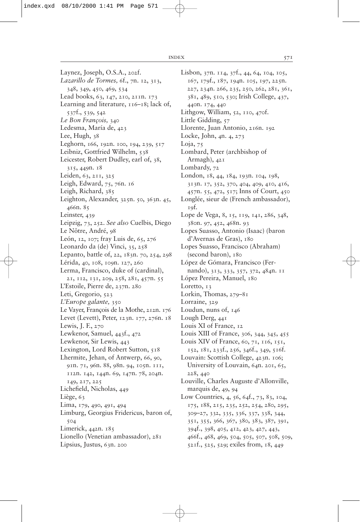Laynez, Joseph, O.S.A., 202f. *Lazarillo de Tormes,* 6f., 7n. 12, 313, 348, 349, 450, 469, 534 Lead books, 63, 147, 210, 211n. 173 Learning and literature,  $116-18$ ; lack of, 537f., 539, 542 *Le Bon François,* 340 Ledesma, María de, 423 Lee, Hugh, 38 Leghorn, 166, 192n. 100, 194, 239, 517 Leibniz, Gottfried Wilhelm, 538 Leicester, Robert Dudley, earl of, 38, 315, 449n. 18 Leiden, 63, 211, 325 Leigh, Edward, 75, 76n. 16 Leigh, Richard, 385 Leighton, Alexander, 325n. 50, 363n. 45, 466n. 85 Leinster, 439 Leipzig, 73, 252. *See also* Cuelbis, Diego Le Nôtre, André, 98 León, 12, 107; fray Luis de, 65, 276 Leonardo da (de) Vinci, 35, 258 Lepanto, battle of, 22, 183n. 70, 254, 298 Lérida, 40, 108, 109n. 127, 260 Lerma, Francisco, duke of (cardinal), 21, 112, 131, 209, 258, 281, 457n. 55 L'Estoile, Pierre de, 237n. 280 Leti, Gregorio, 523 *L'Europe galante,* 350 Le Vayer, François de la Mothe, 212n. 176 Levet (Levett), Peter, 123n. 177, 276n. 18 Lewis, J. F., 270 Lewkenor, Samuel, 443f., 472 Lewkenor, Sir Lewis, 443 Lexington, Lord Robert Sutton, 518 Lhermite, Jehan, of Antwerp, 66, 90, 91n. 71, 96n. 88, 98n. 94, 105n. 111, 112n. 142, 144n. 69, 147n. 78, 204n. 149, 217, 225 Lichefield, Nicholas, 449 Liège, 63 Lima, 179, 490, 491, 494 Limburg, Georgius Fridericus, baron of, 504 Limerick, 442n. 185 Lionello (Venetian ambassador), 281 Lipsius, Justus, 63n. 200

Lisbon, 37n. 114, 37f., 44, 64, 104, 105, 167, 179f., 187, 194n. 105, 197, 225n. 227, 234n. 266, 235, 250, 262, 281, 361, 381, 489, 510, 530; Irish College, 437, 440n. 174, 440 Lithgow, William, 52, 110, 470f. Little Gidding, 57 Llorente, Juan Antonio, 216n. 192 Locke, John, 4n. 4, 273 Loja,  $75$ Lombard, Peter (archbishop of Armagh),  $42I$ Lombardy, 72 London, 18, 44, 184, 193n. 104, 198, 313n. 17, 352, 370, 404, 409, 410, 416, 457n. 55, 472, 517; Inns of Court, 450 Longlée, sieur de (French ambassador), 19f. Lope de Vega, 8, 15, 119, 141, 286, 348, 380n. 97, 452, 468n. 93 Lopes Suasso, Antonio (Isaac) (baron d'Avernas de Gras), 180 Lopes Suasso, Francisco (Abraham) (second baron), 180 López de Gómara, Francisco (Fernando), 313, 333, 357, 372, 484n. 11 López Pereira, Manuel, 180 Loretto, 13 Lorkin, Thomas, 279–81 Lorraine, 329 Loudun, nuns of, 146 Lough Derg, 441 Louis XI of France, 12 Louis XIII of France, 306, 344, 345, 455 Louis XIV of France, 60, 71, 116, 151, 152, 181, 233f., 256, 346f., 349, 516f. Louvain: Scottish College, 423n. 106; University of Louvain, 64n. 201, 65, 228, 440 Louville, Charles Auguste d'Allonville, marquis de, 49, 94 Low Countries, 4, 56, 64f., 73, 83, 104, 175, 188, 215, 235, 252, 254, 280, 295, 309–27, 332, 335, 336, 337, 338, 344, 351, 355, 366, 367, 380, 383, 387, 391, 394f., 398, 405, 412, 423, 427, 443, 466f., 468, 469, 504, 505, 507, 508, 509,

521f., 525, 529; exiles from, 18, 449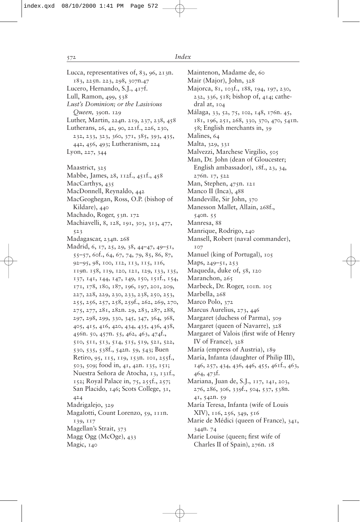Lucca, representatives of, 83, 96, 213n. 183, 225n. 223, 298, 307n.47 Lucero, Hernando, S.J., 417f. Lull, Ramon, 499, 538 *Lust's Dominion; or the Lasivious Queen,* 390n. 129 Luther, Martin, 224n. 219, 237, 238, 458 Lutherans, 26, 42, 90, 221f., 226, 230, 232, 233, 323, 360, 371, 385, 393, 435, 442, 456, 493; Lutheranism, 224 Lyon, 227, 344 Maastrict, 325 Mabbe, James, 28, 112f., 451f., 458 MacCarthys, 435 MacDonnell, Reynaldo, 442 MacGeoghegan, Ross, O.P. (bishop of Kildare), 440 Machado, Roger, 53n. 172 Machiavelli, 8, 128, 191, 303, 313, 477, 523 Madagascar, 234n. 268 Madrid, 6, 17, 25, 29, 38, 44–47, 49–51, 55–57, 60f., 64, 67, 74, 79, 85, 86, 87, 92–95, 98, 100, 112, 113, 115, 116, 119n. 158, 119, 120, 121, 129, 133, 135, 137, 141, 144, 147, 149, 150, 151f., 154, 171, 178, 180, 187, 196, 197, 201, 209, 227, 228, 229, 230, 233, 238, 250, 253, 255, 256, 257, 258, 259f., 262, 269, 270, 275, 277, 281, 282n. 29, 283, 287, 288, 297, 298, 299, 330, 345, 347, 364, 368, 405, 415, 416, 420, 434, 435, 436, 438, 456n. 50, 457n. 55, 462, 463, 474f., 510, 511, 513, 514, 515, 519, 521, 522, 530, 535, 538f., 542n. 59, 543; Buen Retiro, 95, 115, 119, 153n. 101, 255f., 503, 509; food in, 41, 42n. 135, 151; Nuestra Señora de Atocha, 13, 131f., 152; Royal Palace in, 75, 255f., 257; San Placido, 146; Scots College, 31, 424 Madrigalejo, 329 Magalotti, Count Lorenzo, 59, 111n. 139, 117 Magellan's Strait, 373 Magg Ogg (McOge), 433 Magic, 140

Maintenon, Madame de, 60 Mair (Major), John, 328 Majorca, 81, 103f., 188, 194, 197, 230, 232, 336, 518; bishop of, 414; cathedral at, 104 Málaga, 33, 52, 75, 102, 148, 176n. 45, 181, 196, 251, 268, 330, 370, 470, 541n. 58; English merchants in, 39 Malines, 64 Malta, 329, 331 Malvezzi, Marchese Virgilio, 505 Man, Dr. John (dean of Gloucester; English ambassador),  $18f, 23, 34$ 276n. 17, 522 Man, Stephen, 475n. 121 Manco II (Inca), 488 Mandeville, Sir John, 370 Manesson Mallet, Allain, 268f., 540n. 55 Manresa, 88 Manrique, Rodrigo, 240 Mansell, Robert (naval commander), 107 Manuel (king of Portugal), 105 Maps, 249–51, 253 Maqueda, duke of, 58, 120 Maranchon, 265 Marbeck, Dr. Roger, 101n. 105 Marbella, 268 Marco Polo, 372 Marcus Aurelius, 273, 446 Margaret (duchess of Parma), 309 Margaret (queen of Navarre), 328 Margaret of Valois (first wife of Henry IV of France), 328 María (empress of Austria), 189 María, Infanta (daughter of Philip III), 146, 257, 434, 436, 446, 455, 461f., 463, 464, 473f. Mariana, Juan de, S.J., 117, 141, 203, 276, 286, 306, 339f., 504, 537, 538n. 41, 542n. 59 María Teresa, Infanta (wife of Louis XIV), 116, 256, 349, 516 Marie de Médici (queen of France), 341, 344n. 74 Marie Louise (queen; first wife of Charles II of Spain), 276n. 18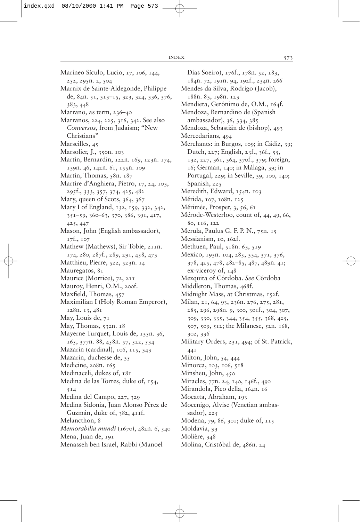- Marineo Sículo, Lucio, 17, 106, 144, 252, 295n. 2, 504
- Marnix de Sainte-Aldegonde, Philippe de, 84n. 51, 313–15, 323, 324, 336, 376, 383, 448
- Marrano, as term, 236–40
- Marranos, 224, 225, 316, 342. See also *Conversos,* from Judaism; "New Christians"
- Marseilles, 45
- Marsolier, J., 350n. 103
- Martin, Bernardin, 122n. 169, 123n. 174, 139n. 46, 142n. 61, 155n. 109
- Martin, Thomas, 58n. 187
- Martire d'Anghiera, Pietro, 17, 24, 103, 295f., 333, 357, 374, 425, 482
- Mary, queen of Scots, 364, 367
- Mary I of England, 132, 159, 332, 342, 351–59, 360–63, 370, 386, 391, 417, 425, 447
- Mason, John (English ambassador), 17f., 107
- Mathew (Mathews), Sir Tobie, 211n. 174, 280, 287f., 289, 291, 458, 473
- Matthieu, Pierre, 522, 523n. 14
- Mauregatos, 81
- Maurice (Morrice), 72, 211
- Mauroy, Henri, O.M., 200f.
- Maxfield, Thomas, 457
- Maximilian I (Holy Roman Emperor), 128n. 13, 481
- May, Louis de, 71
- May, Thomas, 532n. 18
- Mayerne Turquet, Louis de, 135n. 36, 165, 377n. 88, 458n. 57, 522, 534
- Mazarin (cardinal), 106, 115, 343
- Mazarin, duchesse de, 35
- Medicine, 208n. 165
- Medinaceli, dukes of, 181
- Medina de las Torres, duke of, 154, 514
- Medina del Campo, 227, 329
- Medina Sidonia, Juan Alonso Pérez de Guzmán, duke of, 382, 411f.
- Melancthon, 8
- *Memorabilia mundi* (1670), 482n. 6, 540
- Mena, Juan de, 191
- Menasseh ben Israel, Rabbi (Manoel

Dias Soeiro), 176f., 178n. 52, 183, 184n. 72, 191n. 94, 192f., 234n. 266 Mendes da Silva, Rodrigo (Jacob), 188n. 83, 198n. 123 Mendieta, Gerónimo de, O.M., 164f. Mendoza, Bernardino de (Spanish ambassador), 36, 334, 385 Mendoza, Sebastián de (bishop), 493 Mercedarians, 494 Merchants: in Burgos, 109; in Cádiz, 39; Dutch, 227; English, 23f., 36f., 55, 132, 227, 361, 364, 370f., 379; foreign, 16; German, 140; in Málaga, 39; in Portugal, 229; in Seville, 39, 100, 140; Spanish, 225 Meredith, Edward, 154n. 103 Mérida, 107, 108n. 125 Mérimée, Prosper, 3, 56, 61 Mérode-Westerloo, count of, 44, 49, 66, 80, 116, 122 Merula, Paulus G. F. P. N., 75n. 15 Messianism, 10, 162f. Methuen, Paul, 518n. 63, 519 Mexico, 193n. 104, 285, 334, 371, 376, 378, 425, 478, 482–85, 487, 489n. 41; ex-viceroy of,  $148$ Mezquita of Córdoba. *See* Córdoba Middleton, Thomas, 468f. Midnight Mass, at Christmas, 152f. Milan, 21, 64, 93, 236n. 276, 275, 281, 285, 296, 298n. 9, 300, 301f., 304, 307, 309, 330, 335, 344, 354, 355, 368, 425, 507, 509, 512; the Milanese, 52n. 168, 302, 336 Military Orders, 231, 494; of St. Patrick, 441 Milton, John, 54, 444 Minorca, 103, 106, 518 Minsheu, John, 450 Miracles, 77n. 24, 140, 146f., 490 Mirandola, Pico della, 164n. 16 Mocatta, Abraham, 193 Mocenigo, Alvise (Venetian ambassador), 225 Modena, 79, 86, 301; duke of, 115 Moldavia, 93 Molière, 348

Molina, Cristóbal de, 486n. 24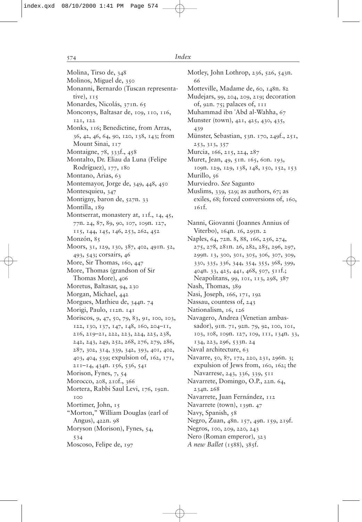Molina, Tirso de, 348 Molinos, Miguel de, 350 Monanni, Bernardo (Tuscan representative), 115 Monardes, Nicolás, 371n. 65 Monconys, Baltasar de, 109, 110, 116, 121, 122 Monks, 116; Benedictine, from Arras, 36, 42, 46, 64, 90, 120, 138, 143; from Mount Sinai, 117 Montaigne, 78, 333f., 458 Montalto, Dr. Eliau da Luna (Felipe Rodríguez), 177, 180 Montano, Arias, 63 Montemayor, Jorge de, 349, 448, 450 Montesquieu, 347 Montigny, baron de, 527n. 33 Montilla, 189 Montserrat, monastery at, 11f., 14, 45, 77n. 24, 87, 89, 90, 107, 109n. 127, 115, 144, 145, 146, 253, 262, 452 Monzón, 85 Moors, 31, 129, 130, 387, 402, 491n. 52, 493, 543; corsairs, 46 More, Sir Thomas, 160, 447 More, Thomas (grandson of Sir Thomas More), 406 Moretus, Baltasar, 94, 230 Morgan, Michael, 442 Morgues, Mathieu de, 344n. 74 Morigi, Paulo, 112n. 141 Moriscos, 9, 47, 50, 79, 83, 91, 100, 103, 122, 130, 137, 147, 148, 160, 204–11, 216, 219–21, 222, 223, 224, 225, 238, 242, 243, 249, 252, 268, 276, 279, 286, 287, 302, 314, 339, 342, 393, 401, 402, 403, 404, 539; expulsion of, 162, 171, 211–14, 434n. 156, 536, 541 Morison, Fynes, 7, 54 Morocco, 208, 210f., 366 Mortera, Rabbi Saul Levi, 176, 192n. 100 Mortimer, John, 15 "Morton," William Douglas (earl of Angus), 422n. 98 Moryson (Morison), Fynes, 54, 534 Moscoso, Felipe de, 197

Motley, John Lothrop, 236, 526, 543n. 66 Motteville, Madame de, 60, 148n. 82 Mudejars, 99, 204, 209, 219; decoration of, 92n. 75; palaces of, 111 Muhammad ibn `Abd al-Wahha, 67 Munster (town), 421, 425, 430, 435, 439 Münster, Sebastian, 53n. 170, 249f., 251, 253, 313, 357 Murcia, 166, 215, 224, 287 Muret, Jean, 49, 51n. 165, 60n. 193, 109n. 129, 129, 138, 148, 150, 152, 153 Murillo, 56 Murviedro. *See* Sagunto Muslims, 339, 529; as authors, 67; as exiles, 68; forced conversions of, 160, 161f. Nanni, Giovanni (Joannes Annius of Viterbo), 164n. 16, 295n. 2 Naples, 64, 72n. 8, 88, 166, 256, 274, 275, 278, 281n. 26, 282, 285, 296, 297, 299n. 13, 300, 301, 305, 306, 307, 309, 330, 335, 336, 344, 354, 355, 368, 399, 404n. 33, 425, 441, 468, 507, 511f.; Neapolitans, 99, 101, 113, 298, 387 Nash, Thomas, 389 Nasi, Joseph, 166, 171, 192 Nassau, countess of, 243 Nationalism, 16, 126 Navagero, Andrea (Venetian ambassador), 91n. 71, 92n. 79, 92, 100, 101, 103, 108, 109n. 127, 109, 111, 134n. 33, 134, 223, 296, 533n. 24 Naval architecture, 63 Navarre, 50, 87, 172, 220, 231, 296n. 3; expulsion of Jews from, 160, 162; the Navarrese, 243, 336, 339, 511 Navarrete, Domingo, O.P., 22n. 64, 234n. 268 Navarrete, Juan Fernández, 112 Navarrete (town), 139n. 47 Navy, Spanish, 58 Negro, Zuan, 48n. 157, 49n. 159, 219f. Negros, 100, 209, 220, 243 Nero (Roman emperor), 323 *A new Ballet* (1588), 385f.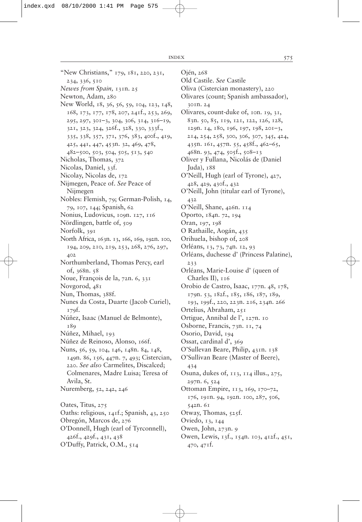"New Christians," 179, 181, 220, 231, 234, 336, 510 *Newes from Spain,* 131n. 25 Newton, Adam, 280 New World, 18, 36, 56, 59, 104, 123, 148, 168, 173, 177, 178, 207, 241f., 253, 269, 295, 297, 301–3, 304, 306, 314, 316–19, 321, 323, 324, 326f., 328, 330, 333f., 335, 338, 357, 371, 376, 383, 400f., 419, 425, 441, 447, 453n. 32, 469, 478, 482–500, 503, 504, 505, 513, 540 Nicholas, Thomas, 372 Nicolas, Daniel, 33f. Nicolay, Nicolas de, 172 Nijmegen, Peace of. *See* Peace of Nijmegen Nobles: Flemish, 79; German-Polish, 14, 79, 107, 144; Spanish, 62 Nonius, Ludovicus, 109n. 127, 116 Nördlingen, battle of, 509 Norfolk, 391 North Africa, 163n. 13, 166, 169, 192n. 100, 194, 209, 210, 219, 253, 268, 276, 297, 402 Northumberland, Thomas Percy, earl of, 368n. 58 Noue, François de la, 72n. 6, 331 Novgorod, 481 Nun, Thomas, 388f. Nunes da Costa, Duarte (Jacob Curiel), 179f. Núñez, Isaac (Manuel de Belmonte), 189 Núñez, Mihael, 193 Núñez de Reinoso, Alonso, 166f. Nuns, 56, 59, 104, 146, 148n. 84, 148, 149n. 86, 156, 447n. 7, 493; Cistercian, 220. *See also* Carmelites, Discalced; Colmenares, Madre Luisa; Teresa of Avila, St. Nuremberg, 52, 242, 246 Oates, Titus, 275 Oaths: religious, 141f.; Spanish, 43, 250 Obregón, Marcos de, 276 O'Donnell, Hugh (earl of Tyrconnell), 426f., 429f., 431, 438 O'Duffy, Patrick, O.M., 514

Ojén, 268

Old Castile. *See* Castile Oliva (Cistercian monastery), 220 Olivares (count; Spanish ambassador), 301n. 24 Olivares, count-duke of, 10n. 19, 31, 83n. 50, 85, 119, 121, 122, 126, 128, 129n. 14, 180, 196, 197, 198, 201–3, 214, 254, 258, 300, 306, 307, 345, 424, 435n. 161, 457n. 55, 458f., 462–65, 468n. 93, 474, 505f., 508–13 Oliver y Fullana, Nicolás de (Daniel Juda),  $188$ O'Neill, Hugh (earl of Tyrone), 427, 428, 429, 430f., 432 O'Neill, John (titular earl of Tyrone), 432 O'Neill, Shane, 426n. 114

Oporto, 184n. 72, 194

Oran, 197, 198

O Rathaille, Aogán, 435

- Orihuela, bishop of, 208
- Orléans, 13, 73, 74n. 12, 93
- Orléans, duchesse d' (Princess Palatine), 233
- Orléans, Marie-Louise d' (queen of Charles II),  $116$

Orobio de Castro, Isaac, 177n. 48, 178, 179n. 53, 182f., 185, 186, 187, 189,

- 193, 199f., 220, 223n. 216, 234n. 266
- Ortelius, Abraham, 251
- Ortigue, Annibal de l', 127n. 10
- Osborne, Francis, 73n. 11, 74
- Osorio, David, 194
- Ossat, cardinal d', 369
- O'Sullevan Beare, Philip, 431n. 138
- O'Sullivan Beare (Master of Beere), 434
- Osuna, dukes of, 113, 114 illus., 275, 297n. 6, 524
- Ottoman Empire, 113, 169, 170–72, 176, 191n. 94, 192n. 100, 287, 506, 542n. 61
- Otway, Thomas, 525f.
- Oviedo, 13, 144
- Owen, John, 273n. 9
- Owen, Lewis, 13f., 154n. 103, 412f., 451, 470, 471f.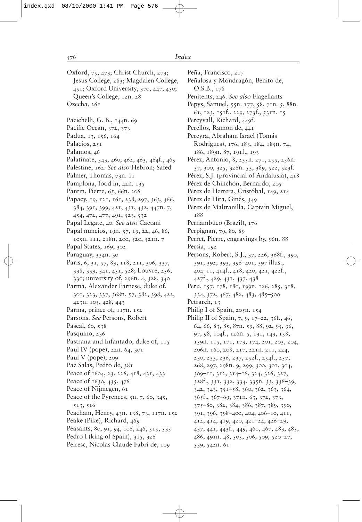- Oxford, 75, 473; Christ Church, 273; Jesus College, 283; Magdalen College, 451; Oxford University, 370, 447, 450; Queen's College, 12n. 28 Ozecha, 261
- Pacichelli, G. B., 144n. 69
- Pacific Ocean, 372, 373
- Padua, 13, 156, 164
- Palacios, 251
- Palamos, 46
- Palatinate, 343, 460, 462, 463, 464f., 469
- Palestine, 162. *See also* Hebron; Safed
- Palmer, Thomas, 73n. 11
- Pamplona, food in, 42n. 135
- Pantin, Pierre, 65, 66n. 206
- Papacy, 19, 121, 161, 238, 297, 363, 366, 384, 391, 399, 421, 431, 432, 447n. 7, 454, 472, 477, 491, 523, 532
- Papal Legate, 40. *See also* Caetani
- Papal nuncios, 19n. 57, 19, 22, 46, 86, 105n. 111, 218n. 200, 520, 521n. 7
- Papal States, 169, 302
- Paraguay, 334n. 30
- Paris, 6, 31, 57, 89, 118, 211, 306, 337, 338, 339, 341, 451, 528; Louvre, 256, 330; university of, 296n. 4, 328, 340
- Parma, Alexander Farnese, duke of, 300, 323, 337, 368n. 57, 382, 398, 422, 423n. 105, 428, 443
- Parma, prince of, 117n. 152
- Parsons. *See* Persons, Robert
- Pascal, 60, 538
- Pasquino, 236
- Pastrana and Infantado, duke of, 115
- Paul IV (pope), 22n. 64, 301
- Paul V (pope), 209
- Paz Salas, Pedro de, 381
- Peace of 1604, 23, 226, 418, 431, 433
- Peace of 1630, 435, 476
- Peace of Nijmegen, 61
- Peace of the Pyrenees, 5n. 7, 60, 345, 513, 516
- Peacham, Henry, 43n. 138, 73, 117n. 152
- Peake (Pike), Richard, 469
- Peasants, 80, 91, 94, 106, 246, 515, 535
- Pedro I (king of Spain), 315, 326
- Peiresc, Nicolas Claude Fabri de, 109

Peña, Francisco, 217 Peñalosa y Mondragón, Benito de, O.S.B., 178 Penitents, 246. *See also* Flagellants Pepys, Samuel, 55n. 177, 58, 71n. 5, 88n. 61, 123, 151f., 229, 273f., 531n. 15 Percyvall, Richard, 449f. Perellós, Ramon de, 441 Pereyra, Abraham Israel (Tomás Rodrigues), 176, 183, 184, 185n. 74, 186, 189n. 87, 191f., 193 Pérez, Antonio, 8, 235n. 271, 255, 256n. 37, 300, 325, 326n. 53, 389, 522, 523f. Pérez, S.J. (provincial of Andalusia), 418 Pérez de Chinchón, Bernardo, 205 Pérez de Herrera, Cristóbal, 149, 214 Pérez de Hita, Ginés, 349 Pérez de Maltranilla, Captain Miguel, 188 Pernambuco (Brazil), 176 Perpignan, 79, 80, 89 Perret, Pierre, engravings by, 96n. 88

- Persia, 192
- Persons, Robert, S.J., 37, 226, 368f., 390, 391, 392, 393, 396–401, 397 illus., 404–11, 414f., 418, 420, 421, 422f., 427f., 429, 431, 437, 438
- Peru, 157, 178, 180, 199n. 126, 285, 318, 334, 372, 467, 482, 483, 485–500
- Petrarch, 13
- Philip I of Spain, 205n. 154
- Philip II of Spain, 7, 9, 17–22, 36f., 46, 64, 66, 83, 85, 87n. 59, 88, 92, 95, 96, 97, 98, 104f., 126n. 5, 131, 143, 158, 159n. 115, 171, 173, 174, 201, 203, 204, 206n. 160, 208, 217, 221n. 211, 224, 230, 233, 236, 237, 252f., 254f., 257, 268, 297, 298n. 9, 299, 300, 301, 304, 309–11, 312, 314–16, 324, 326, 327, 328f., 331, 332, 334, 335n. 33, 336–39, 342, 343, 351–58, 360, 362, 363, 364, 365f., 367–69, 371n. 63, 372, 373, 375–80, 382, 384, 386, 387, 389, 390, 391, 396, 398–400, 404, 406–10, 411, 412, 414, 419, 420, 421–24, 426–29, 437, 441, 443f., 449, 460, 467, 483, 485, 486, 491n. 48, 505, 506, 509, 520–27, 539, 542n. 61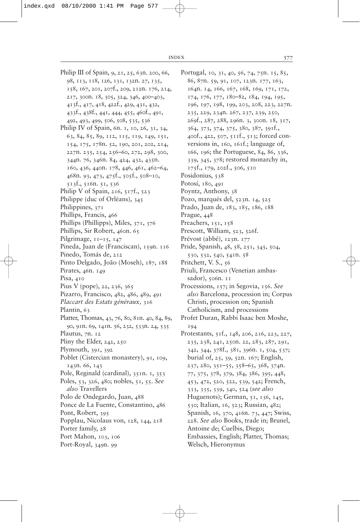Philip III of Spain, 9, 21, 25, 63n. 200, 66, 98, 113, 118, 126, 131, 132n. 27, 135, 158, 167, 201, 207f., 209, 212n. 176, 214, 217, 300n. 18, 305, 324, 346, 400–403, 413f., 417, 418, 422f., 429, 431, 432, 433f., 438f., 441, 444, 455, 460f., 491, 492, 493, 499, 506, 508, 535, 536 Philip IV of Spain, 6n. 1, 10, 26, 31, 34, 63, 84, 85, 89, 112, 115, 119, 149, 151, 154, 175, 178n. 52, 190, 201, 202, 214, 227n. 235, 254, 256–60, 272, 298, 300, 344n. 76, 346n. 84, 424, 432, 435n. 160, 436, 440n. 178, 446, 461, 462–64, 468n. 93, 473, 475f., 505f., 508–10, 513f., 516n. 51, 536 Philip V of Spain, 216,  $517f$ .,  $523$ Philippe (duc of Orléans), 345 Philippines, 371 Phillips, Francis, 466 Phillips (Phillipps), Miles, 371, 376 Phillips, Sir Robert, 460n. 65 Pilgrimage,  $11-15$ ,  $147$ Pineda, Juan de (Franciscan), 159n. 116 Pinedo, Tomás de, 212 Pinto Delgado, João (Moseh), 187, 188 Pirates, 46n. 149 Pisa, 410 Pius V (pope), 22, 236, 365 Pizarro, Francisco, 482, 486, 489, 491 *Placcart des Estats généraux,* 316 Plantin, 63 Platter, Thomas, 43, 76, 80, 81n. 40, 84, 89, 90, 91n. 69, 141n. 56, 232, 533n. 24, 535 Plautus, 7n. 12 Pliny the Elder, 242, 250 Plymouth, 391, 392 Poblet (Cistercian monastery), 91, 109, 143n. 66, 143 Pole, Reginald (cardinal), 351n. 1, 353 Poles, 53, 326, 480; nobles, 51, 55. *See also* Travellers Polo de Ondegardo, Juan, 488 Ponce de La Fuente, Constantino, 486 Pont, Robert, 395 Popplau, Nicolaus von, 128, 144, 218 Porter family, 28 Port Mahon, 103, 106 Port-Royal, 349n. 99

Portugal, 10, 31, 40, 56, 74, 75n. 15, 85, 86, 87n. 59, 91, 107, 123n. 177, 163, 164n. 14, 166, 167, 168, 169, 171, 172, 174, 176, 177, 180–82, 184, 194, 195, 196, 197, 198, 199, 203, 208, 223, 227n. 235, 229, 234n. 267, 237, 239, 250, 269f., 287, 288, 296n. 3, 300n. 18, 317, 364, 373, 374, 375, 380, 387, 391f., 400f., 422, 507, 511f., 513; forced conversions in, 160, 161f.; language of, 166, 196; the Portuguese, 84, 86, 336, 339, 345, 378; restored monarchy in, 175f., 179, 202f., 506, 510 Posidonius, 538 Potosí, 180, 491 Poyntz, Anthony, 38 Pozo, marqués del, 523n. 14, 525 Prado, Juan de, 183, 185, 186, 188 Prague, 448 Preachers, 151, 158 Prescott, William, 523, 526f. Prévost (abbé), 123n. 177 Pride, Spanish, 48, 58, 251, 345, 504, 530, 532, 540, 541n. 58 Pritchett, V. S., 56 Priuli, Francesco (Venetian ambassador), 506n. 11 Processions, 157; in Segovia, 156. *See also* Barcelona, procession in; Corpus Christi, procession on; Spanish Catholicism, and processions Profet Duran, Rabbi Isaac ben Moshe, 194 Protestants, 51f., 148, 206, 216, 223, 227, 235, 238, 241, 250n. 22, 283, 287, 291, 342, 344, 378f., 381, 396n. 1, 504, 537; burial of, 25, 39, 52n. 167; English, 237, 280, 351–55, 358–65, 368, 374n. 77, 375, 378, 379, 384, 386, 395, 448, 453, 472, 520, 522, 539, 542; French, 333, 335, 339, 340, 524 (*see also* Huguenots); German, 51, 136, 145, 530; Italian, 16, 523; Russian, 482; Spanish, 16, 370, 416n. 73, 447; Swiss, 228. *See also* Books, trade in; Brunel, Antoine de; Cuelbis, Diego; Embassies, English; Platter, Thomas; Welsch, Hieronymus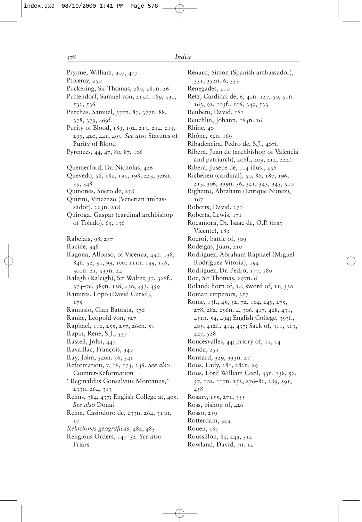Prynne, William, 307, 477 Ptolemy, 250 Puckering, Sir Thomas, 280, 281n. 26 Puffendorf, Samuel von, 215n. 189, 530, 532, 536 Purchas, Samuel, 377n. 87, 377n. 88, 378, 379, 469f. Purity of Blood, 189, 192, 213, 214, 215, 299, 420, 441, 493. *See also* Statutes of Purity of Blood Pyrenees, 44, 47, 80, 87, 106 Quemerford, Dr. Nicholas, 426 Quevedo, 58, 182, 191, 198, 223, 326n. 55, 348 Quinones, Suero de, 258 Quirini, Vincenzo (Venetian ambassador), 223n. 218 Quiroga, Gaspar (cardinal archbishop of Toledo), 65, 136 Rabelais, 98, 237 Racine, 348 Ragona, Alfonso, of Vicenza, 43n. 138, 84n. 52, 91, 99, 100, 111n. 139, 156, 300n. 21, 533n. 24 Ralegh (Raleigh), Sir Walter, 37, 326f., 374–76, 389n. 126, 430, 453, 459 Ramires, Lopo (David Curiel), 175 Ramusio, Gian Battista, 370 Ranke, Leopold von, 527 Raphael, 112, 255, 257, 260n. 51 Rapin, René, S.J., 537 Rastell, John, 447 Ravaillac, François, 340 Ray, John, 540n. 56, 541 Reformation, 7, 16, 173, 246. *See also* Counter-Reformation "Reginaldus Gonsalvius Montanus," 233n. 264, 313 Reims, 384, 437; English College at, 405. *See also* Douai Reina, Casiodoro de, 233n. 264, 313n. 17 *Relaciones geográficas, 482, 485* Religious Orders, 147–52. *See also* Friars

Renard, Simon (Spanish ambassador), 351, 352n. 6, 353 Renegades, 210 Retz, Cardinal de, 6, 40n. 127, 50, 51n. 163, 92, 103f., 106, 349, 533 Reubeni, David, 161 Reuchlin, Johann, 164n. 16 Rhine, 40 Rhône, 52n. 169 Ribadeneira, Pedro de, S.J., 407f. Ribera, Juan de (archbishop of Valencia and patriarch), 206f., 209, 212, 222f. Ribera, Jusepe de, 114 illus., 256 Richelieu (cardinal), 50, 86, 187, 196, 213, 306, 339n. 56, 341, 343, 345, 510 Righetto, Abraham (Enrique Núnez), 167 Roberts, David, 270 Roberts, Lewis, 171 Rocamora, Dr. Isaac de, O.P. (fray Vicente), 189 Rocroi, battle of, 509 Rodelgas, Juan, 210 Rodríguez, Abraham Raphael (Miguel Rodríguez Vitoria), 194 Rodríguez, Dr. Pedro, 177, 180 Roe, Sir Thomas, 297n. 6 Roland: horn of, 14; sword of, 11, 330 Roman emperors, 357 Rome, 13f., 45, 52, 72, 104, 249, 275, 278, 282, 296n. 4, 306, 417, 428, 431, 451n. 54, 494; English College, 393f., 405, 412f., 414, 437; Sack of, 311, 313, 447, 528 Roncesvalles, 44; priory of, 11, 14 Ronda, 251 Ronsard, 329, 333n. 27 Roos, Lady, 281, 282n. 29 Roos, Lord William Cecil, 43n. 138, 52, 57, 102, 117n. 152, 276–82, 289, 291, 458 Rosary, 155, 271, 355 Ross, bishop of, 426 Rosso, 259 Rotterdam, 323 Rouen, 187 Roussillon, 85, 243, 512 Rowland, David, 7n. 12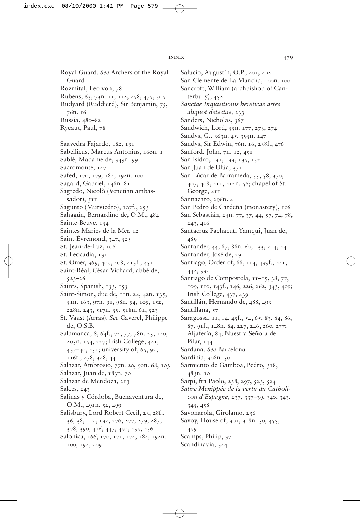Salucio, Augustín, O.P., 201, 202 San Clemente de La Mancha, 100n. 100 Sancroft, William (archbishop of Canterbury), 452 *Sanctae Inquisitionis hereticae artes aliquot detectae,* 233 Sanders, Nicholas, 367 Sandwich, Lord, 55n. 177, 273, 274 Sandys, G., 363n. 45, 395n. 147 Sandys, Sir Edwin, 76n. 16, 238f., 476 Sanford, John, 7n. 12, 451 San Isidro, 131, 133, 135, 152 San Juan de Ulúa, 371 San Lúcar de Barrameda, 55, 58, 370, 407, 408, 411, 412n. 56; chapel of St. George, 411 Sannazaro, 296n. 4 San Pedro de Cardeña (monastery), 106 San Sebastián, 25n. 77, 37, 44, 57, 74, 78, 243, 416 Santacruz Pachacuti Yamqui, Juan de, Santander, 44, 87, 88n. 60, 133, 214, 441 Santander, José de, 29 Santiago, Order of, 88, 114, 439f., 441, 579

442, 532 Santiago de Compostela, 11–15, 38, 77, 109, 110, 143f., 146, 226, 262, 343, 409;

Irish College, 437, 439

- Santillán, Hernando de, 488, 493
- Santillana, 57

489

Saragossa, 11, 14, 45f., 54, 65, 83, 84, 86, 87, 91f., 148n. 84, 227, 246, 260, 277; Aljafería, 84; Nuestra Señora del Pilar, 144

Sardana. *See* Barcelona

Sardinia, 308n. 50

Sarmiento de Gamboa, Pedro, 318, 483n. 10

Sarpi, fra Paolo, 238, 297, 523, 524

*Satire Ménippée de la vertu du Catholicon d'Espagne,* 237, 337–39, 340, 343, 345, 458

Savonarola, Girolamo, 236

Savoy, House of, 301, 308n. 50, 455, 459

Scamps, Philip, 37

Scandinavia, 344

Guard Rozmital, Leo von, 78 Rubens, 63, 73n. 11, 112, 258, 475, 505 Rudyard (Ruddierd), Sir Benjamin, 75, 76n. 16 Russia, 480–82 Rycaut, Paul, 78 Saavedra Fajardo, 182, 191 Sabellicus, Marcus Antonius, 160n. 1 Sablé, Madame de, 349n. 99 Sacromonte, 147 Safed, 170, 179, 184, 192n. 100 Sagard, Gabriel, 148n. 81 Sagredo, Nicolò (Venetian ambassador),  $511$ Sagunto (Murviedro), 107f., 253 Sahagún, Bernardino de, O.M., 484 Sainte-Beuve, 154 Saintes Maries de la Mer, 12 Saint-Évremond, 347, 525 St. Jean-de-Luz, 106 St. Leocadia, 131 St. Omer, 369, 405, 408, 413f., 451 Saint-Réal, César Vichard, abbé de, 523–26 Saints, Spanish, 133, 153 Saint-Simon, duc de, 11n. 24, 42n. 135, 51n. 163, 97n. 91, 98n. 94, 109, 152, 228n. 243, 517n. 59, 518n. 61, 523 St. Vaast (Arras). *See* Caverel, Philippe de, O.S.B. Salamanca, 8, 64f., 72, 77, 78n. 25, 140, 205n. 154, 227; Irish College, 421, 437–40, 451; university of, 65, 92, 116f., 278, 328, 440 Salazar, Ambrosio, 77n. 20, 90n. 68, 103 Salazar, Juan de, 183n. 70 Salazar de Mendoza, 213 Salces, 243

Royal Guard. *See* Archers of the Royal

- Salinas y Córdoba, Buenaventura de, O.M., 491n. 52, 499
- Salisbury, Lord Robert Cecil, 23, 28f., 36, 38, 102, 132, 276, 277, 279, 287, 378, 390, 416, 447, 450, 455, 456
- Salonica, 166, 170, 171, 174, 184, 192n. 100, 194, 209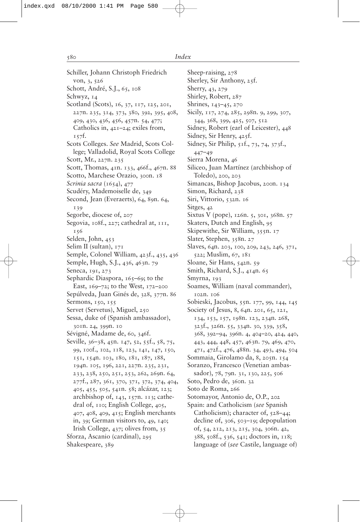Schiller, Johann Christoph Friedrich von, 3, 526 Schott, André, S.J., 65, 108 Schwyz, 14 Scotland (Scots), 16, 37, 117, 125, 201, 227n. 235, 314, 373, 380, 392, 395, 408, 409, 430, 436, 456, 457n. 54, 477; Catholics in, 421–24; exiles from, 157f. Scots Colleges. *See* Madrid, Scots College; Valladolid, Royal Scots College Scott, Mr., 227n. 235 Scott, Thomas, 41n. 133, 466f., 467n. 88 Scotto, Marchese Orazio, 300n. 18 *Scrinia sacra* (1654), 477 Scudéry, Mademoiselle de, 349 Second, Jean (Everaerts), 64, 89n. 64, 139 Segorbe, diocese of, 207 Segovia, 108f., 227; cathedral at, 111, 156 Selden, John, 453 Selim II (sultan), 171 Semple, Colonel William, 423f., 435, 436 Semple, Hugh, S.J., 436, 463n. 79 Seneca, 191, 273 Sephardic Diaspora, 165–69; to the East, 169–72; to the West, 172–200 Sepúlveda, Juan Ginés de, 328, 377n. 86 Sermons, 150, 155 Servet (Servetus), Miguel, 250 Sessa, duke of (Spanish ambassador), 301n. 24, 399n. 10 Sévigné, Madame de, 60, 346f. Seville, 36–38, 45n. 147, 52, 55f., 58, 75, 99, 100f., 102, 118, 123, 141, 147, 150, 151, 154n. 103, 180, 181, 187, 188, 194n. 105, 196, 221, 227n. 235, 231, 233, 238, 250, 251, 253, 262, 269n. 64, 277f., 287, 361, 370, 371, 372, 374, 404, 405, 455, 505, 541n. 58; alcázar, 123; archbishop of,  $143$ ,  $157n$ .  $113$ ; cathedral of, 110; English College, 405, 407, 408, 409, 415; English merchants in, 39; German visitors to, 49, 140; Irish College, 437; olives from, 35 Sforza, Ascanio (cardinal), 295 Shakespeare, 389

Sheep-raising, 278 Sherley, Sir Anthony, 25f. Sherry, 43, 279 Shirley, Robert, 287 Shrines, 143–45, 270 Sicily, 117, 274, 285, 298n. 9, 299, 307, 344, 368, 399, 425, 507, 512 Sidney, Robert (earl of Leicester), 448 Sidney, Sir Henry, 425f. Sidney, Sir Philip, 51f., 73, 74, 373f., 447–49 Sierra Morena, 46 Siliceo, Juan Martínez (archbishop of Toledo), 200, 203 Simancas, Bishop Jacobus, 200n. 134 Simon, Richard, 238 Siri, Vittorio, 532n. 16 Sitges, 42 Sixtus V (pope), 126n. 5, 301, 368n. 57 Skaters, Dutch and English, 95 Skipewithe, Sir William, 355n. 17 Slater, Stephen, 358n. 27 Slaves, 64n. 203, 100, 209, 243, 246, 371, 522; Muslim, 67, 181 Sloane, Sir Hans, 542n. 59 Smith, Richard, S.J., 414n. 65 Smyrna, 193 Soames, William (naval commander), 102n. 106 Sobieski, Jacobus, 55n. 177, 99, 144, 145 Society of Jesus, 8, 64n. 201, 65, 121, 134, 153, 157, 198n. 123, 234n. 268, 323f., 326n. 55, 334n. 30, 339, 358, 368, 392–94, 396n. 4, 404–20, 424, 440, 443, 444, 448, 457, 463n. 79, 469, 470, 471, 472f., 476, 488n. 34, 493, 494, 504 Sommaia, Girolamo da, 8, 205n. 154 Soranzo, Francesco (Venetian ambassador), 78, 79n. 31, 130, 225, 506 Soto, Pedro de, 360n. 32 Soto de Roma, 266 Sotomayor, Antonio de, O.P., 202 Spain: and Catholicism (*see* Spanish Catholicism); character of, 528–44; decline of, 306, 503–19; depopulation of, 54, 212, 213, 215, 304, 306n. 42, 388, 508f., 536, 541; doctors in, 118; language of (*see* Castile, language of)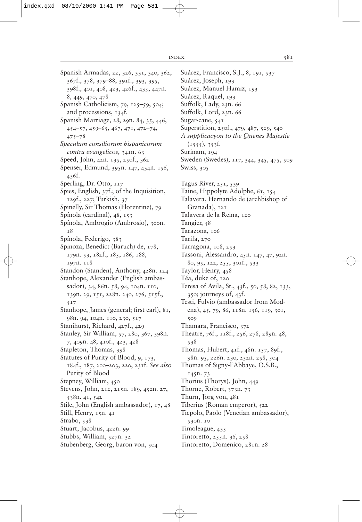Spanish Armadas, 22, 326, 331, 340, 362, 367f., 378, 379–88, 391f., 393, 395, 398f., 401, 408, 423, 426f., 435, 447n. 8, 449, 470, 478 Spanish Catholicism, 79, 125–59, 504; and processions, 134f. Spanish Marriage, 28, 29n. 84, 35, 446, 454–57, 459–65, 467, 471, 472–74, 475–78 *Speculum consiliorum hispanicorum contra evangelicos,* 341n. 63 Speed, John, 42n. 135, 250f., 362 Spenser, Edmund, 395n. 147, 434n. 156, 436f. Sperling, Dr. Otto, 117 Spies, English, 37f.; of the Inquisition, 129f., 227; Turkish, 37 Spinelly, Sir Thomas (Florentine), 79 Spínola (cardinal), 48, 153 Spínola, Ambrogio (Ambrosio), 300n. 18 Spínola, Federigo, 383 Spinoza, Benedict (Baruch) de, 178, 179n. 53, 182f., 185, 186, 188, 197n. 118 Standon (Standen), Anthony, 428n. 124 Stanhope, Alexander (English ambassador), 34, 86n. 58, 94, 104n. 110, 139n. 29, 151, 228n. 240, 276, 515f., 517 Stanhope, James (general; first earl), 81, 98n. 94, 104n. 110, 230, 517 Stanihurst, Richard, 427f., 429 Stanley, Sir William, 57, 280, 367, 398n. 7, 409n. 48, 410f., 423, 428 Stapleton, Thomas, 398 Statutes of Purity of Blood, 9, 173, 184f., 187, 200–203, 220, 231f. *See also* Purity of Blood Stepney, William, 450 Stevens, John, 212, 215n. 189, 452n. 27, 538n. 41, 542 Stile, John (English ambassador), 17, 48 Still, Henry, 15n. 41 Strabo, 538 Stuart, Jacobus, 422n. 99 Stubbs, William, 527n. 32 Stubenberg, Georg, baron von, 504

Suárez, Francisco, S.J., 8, 191, 537 Suárez, Joseph, 193 Suárez, Manuel Hamiz, 193 Suárez, Raquel, 193 Suffolk, Lady, 23n. 66 Suffolk, Lord, 23n. 66 Sugar-cane, 541 Superstition, 250f., 479, 487, 529, 540 *A supplicacyon to the Quenes Majestie*  $(1555), 353f.$ Surinam, 194 Sweden (Swedes), 117, 344, 345, 475, 509 Swiss, 305 Tagus River, 251, 539 Taine, Hippolyte Adolphe, 61, 154 Talavera, Hernando de (archbishop of Granada), 121 Talavera de la Reina, 120 Tangier, 58 Tarazona, 106 Tarifa, 270 Tarragona, 108, 253 Tassoni, Alessandro, 45n. 147, 47, 92n. 80, 95, 122, 255, 301f., 533 Taylor, Henry, 458 Téa, duke of, 120 Teresa of Avila, St., 43f., 50, 58, 82, 133, 350; journeys of, 43f. Testi, Fulvio (ambassador from Modena), 45, 79, 86, 118n. 156, 119, 301, 509 Thamara, Francisco, 372 Theatre, 76f., 118f., 256, 278, 289n. 48, 538 Thomas, Hubert, 41f., 48n. 157, 89f., 98n. 95, 226n. 230, 232n. 258, 504 Thomas of Signy-l'Abbaye, O.S.B., 145n. 73 Thorius (Thorys), John, 449 Thorne, Robert, 373n. 73 Thurn, Jörg von, 481 Tiberius (Roman emperor), 522 Tiepolo, Paolo (Venetian ambassador), 530n. 10 Timoleague, 435 Tintoretto, 255n. 36, 258 Tintoretto, Domenico, 281n. 28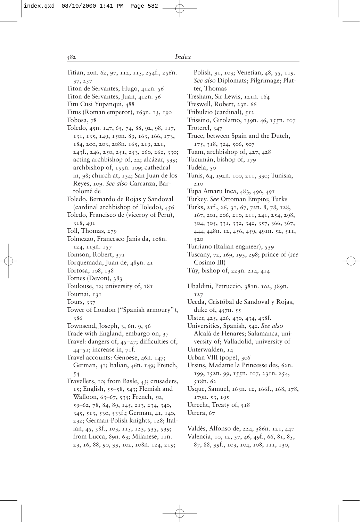Titian, 20n. 62, 97, 112, 115, 254f., 256n. 37, 257 Titon de Servantes, Hugo, 412n. 56 Titon de Servantes, Juan, 412n. 56 Titu Cusi Yupanqui, 488 Titus (Roman emperor), 163n. 13, 190 Tobosa, 78 Toledo, 45n. 147, 65, 74, 88, 92, 98, 117, 131, 135, 149, 150n. 89, 163, 166, 173, 184, 200, 203, 208n. 165, 219, 221, 243f., 246, 250, 251, 253, 260, 262, 330; acting archbishop of, 22; alcázar, 539; archbishop of, 155n. 109; cathedral in, 98; church at, 134; San Juan de los Reyes, 109. *See also* Carranza, Bartolomé de Toledo, Bernardo de Rojas y Sandoval (cardinal archbishop of Toledo), 456 Toledo, Francisco de (viceroy of Peru), 318, 491 Toll, Thomas, 279 Tolmezzo, Francesco Janis da, 108n. 124, 119n. 157 Tomson, Robert, 371 Torquemada, Juan de, 489n. 41 Tortosa, 108, 138 Totnes (Devon), 383 Toulouse, 12; university of, 181 Tournai, 131 Tours, 337 Tower of London ("Spanish armoury"), 386 Townsend, Joseph, 3, 6n. 9, 56 Trade with England, embargo on, 37 Travel: dangers of,  $45-47$ ; difficulties of,  $44-51$ ; increase in,  $71f$ . Travel accounts: Genoese, 46n. 147; German, 41; Italian, 46n. 149; French, 54 Travellers, 10; from Basle, 43; crusaders, 15; English, 55–58, 543; Flemish and Walloon, 63–67, 535; French, 50, 59–62, 78, 84, 89, 145, 213, 234, 340, 345, 513, 530, 533f.; German, 41, 140, 232; German-Polish knights, 128; Italian, 45, 58f., 103, 115, 123, 535, 539; from Lucca, 89n. 63; Milanese, 11n. 23, 16, 88, 90, 99, 102, 108n. 124, 219;

Polish, 91, 103; Venetian, 48, 55, 119. *See also* Diplomats; Pilgrimage; Platter, Thomas Tresham, Sir Lewis, 121n. 164 Treswell, Robert, 23n. 66 Tribulzio (cardinal), 512 Trissino, Girolamo, 139n. 46, 155n. 107 Troterel, 347 Truce, between Spain and the Dutch, 175, 318, 324, 506, 507 Tuam, archbishop of, 427, 428 Tucumán, bishop of, 179 Tudela, 50 Tunis, 64, 192n. 100, 211, 330; Tunisia, 210 Tupa Amaru Inca, 483, 490, 491 Turkey. *See* Ottoman Empire; Turks Turks, 21f., 26, 31, 67, 72n. 8, 78, 128, 167, 201, 206, 210, 211, 241, 254, 298, 304, 305, 331, 332, 342, 357, 366, 367, 444, 448n. 12, 456, 459, 491n. 52, 511, 520 Turriano (Italian engineer), 539 Tuscany, 72, 169, 193, 298; prince of (*see* Cosimo III) Túy, bishop of, 223n. 214, 414 Ubaldini, Petruccio, 381n. 102, 389n. 127 Uceda, Cristóbal de Sandoval y Rojas, duke of, 457n. 55 Ulster, 425, 426, 430, 434, 438f. Universities, Spanish, 542. *See also* Alcalá de Henares; Salamanca, university of; Valladolid, university of Unterwalden, 14 Urban VIII (pope), 306 Ursins, Madame la Princesse des, 62n. 199, 152n. 99, 155n. 107, 231n. 254, 518n. 62 Usque, Samuel, 163n. 12, 166f., 168, 178, 179n. 53, 195 Utrecht, Treaty of, 518 Utrera, 67 Valdés, Alfonso de, 224, 386n. 121, 447 Valencia, 10, 12, 37, 46, 49f., 66, 81, 85,

87, 88, 99f., 103, 104, 108, 111, 130,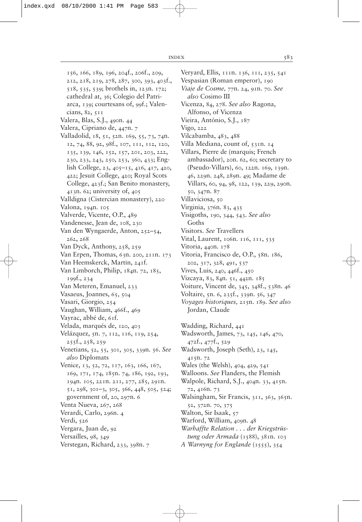156, 166, 189, 196, 204f., 206f., 209, 212, 218, 219, 278, 287, 300, 393, 403f., 518, 535, 539; brothels in, 123n. 172; cathedral at, 36; Colegio del Patriarca, 139; courtesans of, 99f.; Valencians, 82, 511 Valera, Blas, S.J., 490n. 44 Valera, Cipriano de, 447n. 7 Valladolid, 18, 51, 52n. 169, 55, 73, 74n. 12, 74, 88, 92, 98f., 107, 111, 112, 120, 135, 139, 146, 152, 157, 201, 203, 222, 230, 233, 243, 250, 253, 360, 433; English College, 23, 405–15, 416, 417, 420, 422; Jesuit College, 420; Royal Scots College, 423f.; San Benito monastery, 413n. 62; university of, 405 Valldigna (Cistercian monastery), 220 Valona, 194n. 105 Valverde, Vicente, O.P., 489 Vandenesse, Jean de, 108, 230 Van den Wyngaerde, Anton, 252–54, 262, 268 Van Dyck, Anthony, 258, 259 Van Erpen, Thomas, 63n. 200, 211n. 173 Van Heemskerck, Martin, 241f. Van Limborch, Philip, 184n. 72, 185, 199f., 234 Van Meteren, Emanuel, 233 Vasaeus, Joannes, 65, 504 Vasari, Giorgio, 254 Vaughan, William, 466f., 469 Vayrac, abbé de, 61f. Velada, marqués de, 120, 403 Velázquez, 5n. 7, 112, 116, 119, 254, 255f., 258, 259 Venetians, 52, 55, 301, 305, 339n. 56. *See also* Diplomats Venice, 13, 52, 72, 117, 163, 166, 167, 169, 171, 174, 185n. 74, 186, 192, 193, 194n. 105, 221n. 211, 277, 285, 291n. 51, 298, 301–3, 305, 366, 448, 505, 524; government of, 20, 297n. 6 Venta Nueva, 267, 268 Verardi, Carlo, 296n. 4 Verdi, 526 Vergara, Juan de, 92 Versailles, 98, 349 Verstegan, Richard, 233, 398n. 7

Veryard, Ellis, 111n. 136, 111, 235, 541 Vespasian (Roman emperor), 190 *Viaje de Cosme,* 77n. 24, 91n. 70. *See also* Cosimo III Vicenza, 84, 278. *See also* Ragona, Alfonso, of Vicenza Vieira, António, S.J., 187 Vigo, 222 Vilcabamba, 483, 488 Villa Mediana, count of, 531n. 14 Villars, Pierre de (marquis; French ambassador), 20n. 62, 60; secretary to (Pseudo-Villars), 60, 122n. 169, 139n. 46, 229n. 248, 289n. 49; Madame de Villars, 60, 94, 98, 122, 139, 229, 290n. 50, 347n. 87 Villaviciosa, 50 Virginia, 376n. 83, 435 Visigoths, 190, 344, 543. *See also* Goths Visitors. *See* Travellers Vital, Laurent, 106n. 116, 111, 535 Vitoria, 440n. 178 Vitoria, Francisco de, O.P., 58n. 186, 202, 317, 328, 491, 537 Vives, Luis, 240, 446f., 450 Vizcaya, 83, 84n. 51, 442n. 185 Voiture, Vincent de, 345, 348f., 538n. 46 Voltaire, 5n. 6, 235f., 339n. 56, 347 *Voyages historiques,* 215n. 189. *See also* Jordan, Claude Wadding, Richard, 441 Wadsworth, James, 73, 145, 146, 470, 472f., 477f., 529 Wadsworth, Joseph (Seth), 23, 145, 415n. 72 Wales (the Welsh), 404, 429, 541 Walloons. *See* Flanders, the Flemish Walpole, Richard, S.J., 404n. 33, 415n. 72, 416n. 73 Walsingham, Sir Francis, 311, 363, 365n. 52, 372n. 70, 375 Walton, Sir Isaak, 57 Warford, William, 409n. 48 *Warhaffte Relation . . . der Kriegstrüstung oder Armada* (1588), 381n. 103

*A Warnyng for Englande* (1555), 354